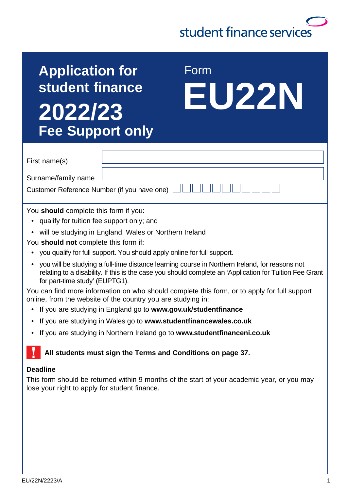# student finance services

## **Application for student finance 2022/23 Fee Support only**

 Form **EU22N**

|  | First name(s) |
|--|---------------|
|--|---------------|

Surname/family name

Customer Reference Number (if you have one)

You **should** complete this form if you:

- qualify for tuition fee support only; and
- will be studving in England, Wales or Northern Ireland

You **should not** complete this form if:

- you qualify for full support. You should apply online for full support.
- you will be studying a full-time distance learning course in Northern Ireland, for reasons not relating to a disability. If this is the case you should complete an 'Application for Tuition Fee Grant for part-time study' (EUPTG1).

You can find more information on who should complete this form, or to apply for full support online, from the website of the country you are studying in:

- If you are studying in England go to **[www.gov.uk/studentfinance](http://www.gov.uk/studentfinance)**
- If you are studying in Wales go to **[www.studentfinancewales.co.uk](http://www.studentfinancewales.co.uk)**
- If you are studying in Northern Ireland go to **[www.studentfinanceni.co.uk](http://www.studentfinanceni.co.uk)**

#### **All students must sign the Terms and Conditions on page 37.**

#### **Deadline**

This form should be returned within 9 months of the start of your academic year, or you may lose your right to apply for student finance.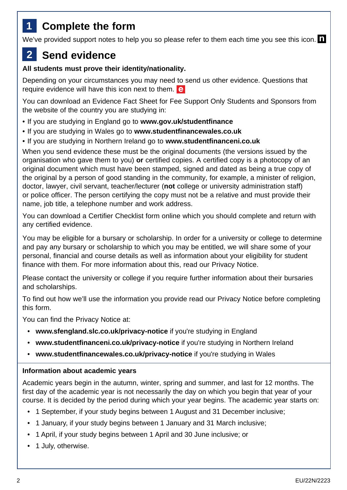## **1 Complete the form**

We've provided support notes to help you so please refer to them each time you see this icon.  $\blacksquare$ 

## **2 Send evidence**

#### **All students must prove their identity/nationality.**

Depending on your circumstances you may need to send us other evidence. Questions that require evidence will have this icon next to them. **e** 

You can download an Evidence Fact Sheet for Fee Support Only Students and Sponsors from the website of the country you are studying in:

- If you are studying in England go to **[www.gov.uk/studentfinance](http://www.gov.uk/studentfinance)**
- If you are studying in Wales go to **[www.studentfinancewales.co.uk](http://www.studentfinancewales.co.uk)**
- If you are studying in Northern Ireland go to **[www.studentfinanceni.co.uk](http://www.studentfinanceni.co.uk)**

When you send evidence these must be the original documents (the versions issued by the organisation who gave them to you) **or** certified copies. A certified copy is a photocopy of an original document which must have been stamped, signed and dated as being a true copy of the original by a person of good standing in the community, for example, a minister of religion, doctor, lawyer, civil servant, teacher/lecturer (**not** college or university administration staff) or police officer. The person certifying the copy must not be a relative and must provide their name, job title, a telephone number and work address.

You can download a Certifier Checklist form online which you should complete and return with any certified evidence.

You may be eligible for a bursary or scholarship. In order for a university or college to determine and pay any bursary or scholarship to which you may be entitled, we will share some of your personal, financial and course details as well as information about your eligibility for student finance with them. For more information about this, read our Privacy Notice.

Please contact the university or college if you require further information about their bursaries and scholarships.

To find out how we'll use the information you provide read our Privacy Notice before completing this form.

You can find the Privacy Notice at:

- **[www.sfengland.slc.co.uk/privacy-notice](http://www.sfengland.slc.co.uk/privacy-notice)** if you're studying in England
- **[www.studentfinanceni.co.uk/privacy-notice](http://www.studentfinanceni.co.uk/privacy-notice)** if you're studying in Northern Ireland
- **[www.studentfinancewales.co.uk/privacy-notice](http://www.studentfinancewales.co.uk/privacy-notice)** if you're studying in Wales

#### **Information about academic years**

Academic years begin in the autumn, winter, spring and summer, and last for 12 months. The first day of the academic year is not necessarily the day on which you begin that year of your course. It is decided by the period during which your year begins. The academic year starts on:

- 1 September, if your study begins between 1 August and 31 December inclusive;
- 1 January, if your study begins between 1 January and 31 March inclusive;
- 1 April, if your study begins between 1 April and 30 June inclusive; or
- 1 July, otherwise.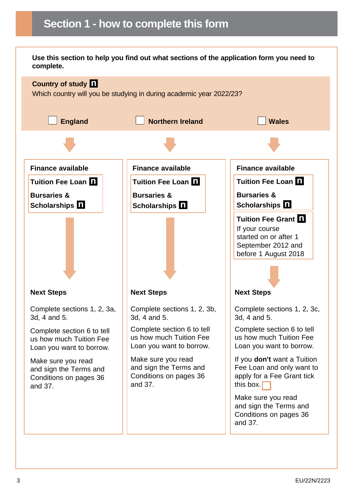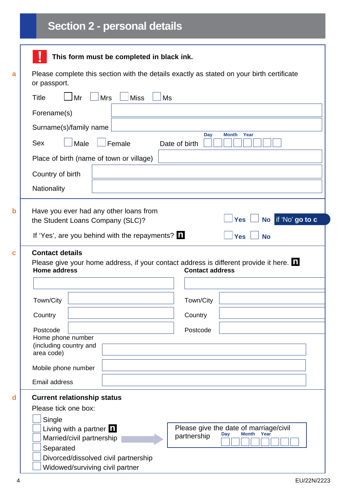## **Section 2 - personal details**

|                                                                                                           | This form must be completed in black ink.                                                                      |  |  |  |
|-----------------------------------------------------------------------------------------------------------|----------------------------------------------------------------------------------------------------------------|--|--|--|
| Please complete this section with the details exactly as stated on your birth certificate<br>or passport. |                                                                                                                |  |  |  |
| <b>Title</b><br><b>Mrs</b><br><b>Miss</b><br>Mr                                                           | Ms                                                                                                             |  |  |  |
| Forename(s)                                                                                               |                                                                                                                |  |  |  |
| Surname(s)/family name                                                                                    |                                                                                                                |  |  |  |
| Male<br>Female<br><b>Sex</b>                                                                              | Day<br><b>Month</b><br>Year<br>Date of birth                                                                   |  |  |  |
| Place of birth (name of town or village)                                                                  |                                                                                                                |  |  |  |
| Country of birth                                                                                          |                                                                                                                |  |  |  |
| Nationality                                                                                               |                                                                                                                |  |  |  |
| <b>Home address</b>                                                                                       | Please give your home address, if your contact address is different provide it here.<br><b>Contact address</b> |  |  |  |
|                                                                                                           |                                                                                                                |  |  |  |
| Town/City                                                                                                 | Town/City                                                                                                      |  |  |  |
| Country                                                                                                   | Country                                                                                                        |  |  |  |
| Postcode<br>Home phone number<br>(including country and                                                   | Postcode                                                                                                       |  |  |  |
| area code)                                                                                                |                                                                                                                |  |  |  |
| Mobile phone number                                                                                       |                                                                                                                |  |  |  |
| Email address                                                                                             |                                                                                                                |  |  |  |
| <b>Current relationship status</b><br>Please tick one box:                                                |                                                                                                                |  |  |  |
| Single<br>Living with a partner $\blacksquare$<br>Married/civil partnership<br>Separated                  | Please give the date of marriage/civil<br><b>Month</b><br>Year<br>Day<br>partnership                           |  |  |  |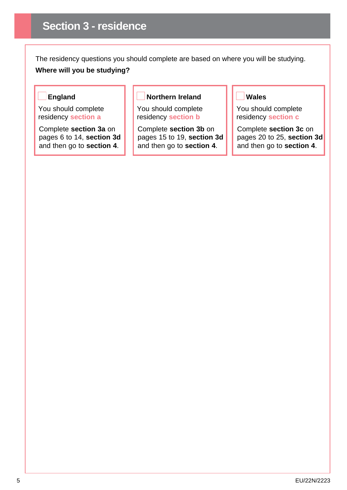The residency questions you should complete are based on where you will be studying. **Where will you be studying?**

#### **England**

You should complete residency **section a**

Complete **section 3a** on pages 6 to 14, **section 3d** and then go to **section 4**.

#### **Northern Ireland**

You should complete residency **section b**

Complete **section 3b** on pages 15 to 19, **section 3d** and then go to **section 4**.

#### **Wales**

You should complete residency **section c**

Complete **section 3c** on pages 20 to 25, **section 3d** and then go to **section 4**.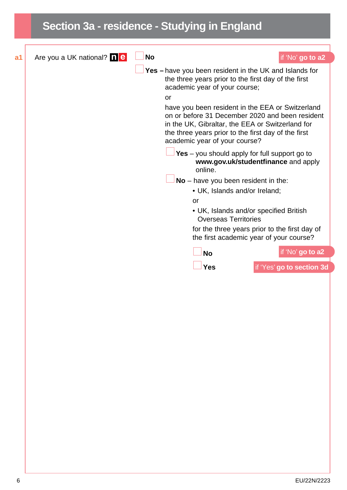### **Section 3a - residence - Studying in England a1** Are you a UK national? **No if** 'No' **go to a2 Yes –** have you been resident in the UK and Islands for the three years prior to the first day of the first academic year of your course; or have you been resident in the EEA or Switzerland on or before 31 December 2020 and been resident in the UK, Gibraltar, the EEA or Switzerland for the three years prior to the first day of the first academic year of your course? **Yes** – you should apply for full support go to [www.gov.uk/studentfinance](http://www.gov.uk/studentfinance) and apply online. **No** – have you been resident in the: • UK, Islands and/or Ireland; or • UK, Islands and/or specified British Overseas Territories for the three years prior to the first day of the first academic year of your course? **No** if 'No' **go to a2 Yes** if 'Yes' **go to section 3d**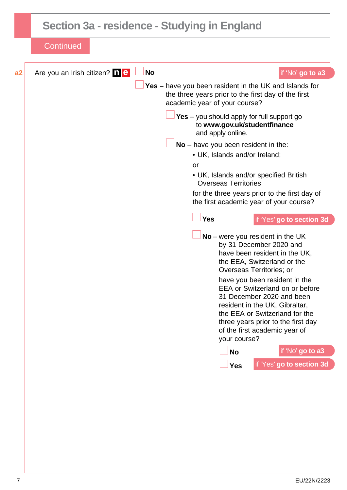|    | Section 3a - residence - Studying in England                                                                                                                                                                                                                                                                                                                                                                                                                                                                                                                                                                                                                                                                                                                                                                                                                                             |
|----|------------------------------------------------------------------------------------------------------------------------------------------------------------------------------------------------------------------------------------------------------------------------------------------------------------------------------------------------------------------------------------------------------------------------------------------------------------------------------------------------------------------------------------------------------------------------------------------------------------------------------------------------------------------------------------------------------------------------------------------------------------------------------------------------------------------------------------------------------------------------------------------|
|    | Continued                                                                                                                                                                                                                                                                                                                                                                                                                                                                                                                                                                                                                                                                                                                                                                                                                                                                                |
| a2 | <b>No</b><br>Are you an Irish citizen? <b>net</b><br>if 'No' go to a3                                                                                                                                                                                                                                                                                                                                                                                                                                                                                                                                                                                                                                                                                                                                                                                                                    |
|    | Yes - have you been resident in the UK and Islands for<br>the three years prior to the first day of the first<br>academic year of your course?<br>Yes - you should apply for full support go<br>to www.gov.uk/studentfinance<br>and apply online.<br>$No$ – have you been resident in the:<br>• UK, Islands and/or Ireland;<br>or<br>• UK, Islands and/or specified British<br><b>Overseas Territories</b><br>for the three years prior to the first day of<br>the first academic year of your course?<br><b>Yes</b><br>if 'Yes' go to section 3d<br>No - were you resident in the UK<br>by 31 December 2020 and<br>have been resident in the UK,<br>the EEA, Switzerland or the<br>Overseas Territories; or<br>have you been resident in the<br><b>EEA or Switzerland on or before</b><br>31 December 2020 and been<br>resident in the UK, Gibraltar,<br>the EEA or Switzerland for the |
|    | three years prior to the first day<br>of the first academic year of<br>your course?                                                                                                                                                                                                                                                                                                                                                                                                                                                                                                                                                                                                                                                                                                                                                                                                      |
|    | if 'No' go to a3<br><b>No</b>                                                                                                                                                                                                                                                                                                                                                                                                                                                                                                                                                                                                                                                                                                                                                                                                                                                            |
|    | if 'Yes' go to section 3d<br><b>Yes</b>                                                                                                                                                                                                                                                                                                                                                                                                                                                                                                                                                                                                                                                                                                                                                                                                                                                  |
|    |                                                                                                                                                                                                                                                                                                                                                                                                                                                                                                                                                                                                                                                                                                                                                                                                                                                                                          |
|    |                                                                                                                                                                                                                                                                                                                                                                                                                                                                                                                                                                                                                                                                                                                                                                                                                                                                                          |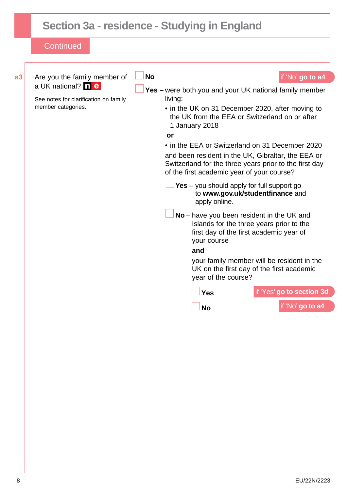## **Section 3a - residence - Studying in England**

| Are you the family member of                                      | <b>No</b>                                                                                                                                                  | if 'No' go to a4                                                                                                                                                               |
|-------------------------------------------------------------------|------------------------------------------------------------------------------------------------------------------------------------------------------------|--------------------------------------------------------------------------------------------------------------------------------------------------------------------------------|
| a UK national? <b>ne</b><br>See notes for clarification on family | Yes - were both you and your UK national family member<br>living:                                                                                          |                                                                                                                                                                                |
| member categories.                                                | • in the UK on 31 December 2020, after moving to<br>the UK from the EEA or Switzerland on or after<br>1 January 2018                                       |                                                                                                                                                                                |
|                                                                   | or                                                                                                                                                         |                                                                                                                                                                                |
|                                                                   | • in the EEA or Switzerland on 31 December 2020                                                                                                            |                                                                                                                                                                                |
|                                                                   | and been resident in the UK, Gibraltar, the EEA or<br>Switzerland for the three years prior to the first day<br>of the first academic year of your course? |                                                                                                                                                                                |
|                                                                   | $Yes - you should apply for full support go$<br>apply online.                                                                                              | to www.gov.uk/studentfinance and                                                                                                                                               |
|                                                                   | No – have you been resident in the UK and<br>your course<br>and<br>year of the course?                                                                     | Islands for the three years prior to the<br>first day of the first academic year of<br>your family member will be resident in the<br>UK on the first day of the first academic |
|                                                                   | <b>Yes</b>                                                                                                                                                 | if 'Yes' go to section 3d                                                                                                                                                      |
|                                                                   |                                                                                                                                                            |                                                                                                                                                                                |
|                                                                   | <b>No</b>                                                                                                                                                  | if 'No' go to a4                                                                                                                                                               |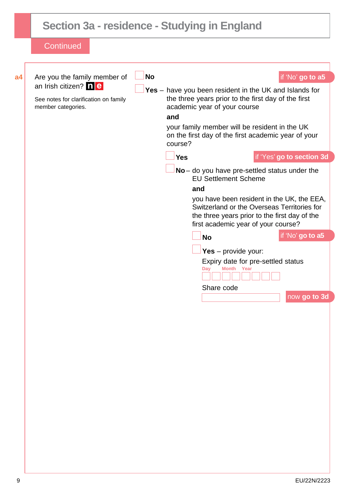|                | Section 3a - residence - Studying in England                                                                               |           |                              |                                                                                                                                                                                                                                                                                                                                                                                                                                                                                                                                                                                                                                                      |                                                                                   |
|----------------|----------------------------------------------------------------------------------------------------------------------------|-----------|------------------------------|------------------------------------------------------------------------------------------------------------------------------------------------------------------------------------------------------------------------------------------------------------------------------------------------------------------------------------------------------------------------------------------------------------------------------------------------------------------------------------------------------------------------------------------------------------------------------------------------------------------------------------------------------|-----------------------------------------------------------------------------------|
|                | <b>Continued</b>                                                                                                           |           |                              |                                                                                                                                                                                                                                                                                                                                                                                                                                                                                                                                                                                                                                                      |                                                                                   |
| a <sub>4</sub> | Are you the family member of<br>an Irish citizen? <b>ne</b><br>See notes for clarification on family<br>member categories. | <b>No</b> | and<br>course?<br><b>Yes</b> | Yes $-$ have you been resident in the UK and Islands for<br>the three years prior to the first day of the first<br>academic year of your course<br>your family member will be resident in the UK<br>on the first day of the first academic year of your<br>$No$ – do you have pre-settled status under the<br><b>EU Settlement Scheme</b><br>and<br>you have been resident in the UK, the EEA,<br>Switzerland or the Overseas Territories for<br>the three years prior to the first day of the<br>first academic year of your course?<br><b>No</b><br>Yes $-$ provide your:<br>Expiry date for pre-settled status<br>Month Year<br>Day<br>Share code | if 'No' go to a5<br>if 'Yes' go to section 3d<br>if 'No' go to a5<br>now go to 3d |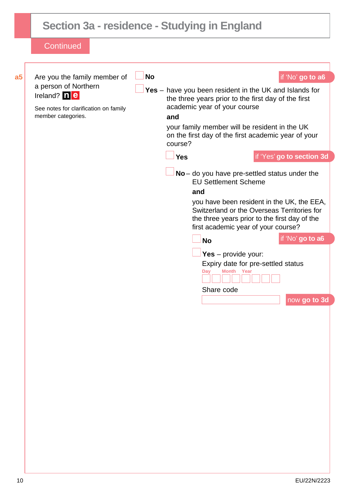|                | Section 3a - residence - Studying in England                                                                                                                     |           |                                     |                                                                                                                                                                                                                                                                                                                                                                                                                                                                                                                                                                                               |                                                                                                                                 |
|----------------|------------------------------------------------------------------------------------------------------------------------------------------------------------------|-----------|-------------------------------------|-----------------------------------------------------------------------------------------------------------------------------------------------------------------------------------------------------------------------------------------------------------------------------------------------------------------------------------------------------------------------------------------------------------------------------------------------------------------------------------------------------------------------------------------------------------------------------------------------|---------------------------------------------------------------------------------------------------------------------------------|
|                | <b>Continued</b>                                                                                                                                                 |           |                                     |                                                                                                                                                                                                                                                                                                                                                                                                                                                                                                                                                                                               |                                                                                                                                 |
| a <sub>5</sub> | Are you the family member of<br>a person of Northern<br>Ireland? $\boxed{\mathbf{n} \mathbf{e} }$<br>See notes for clarification on family<br>member categories. | <b>No</b> | and<br>course?<br><b>Yes</b><br>and | Yes - have you been resident in the UK and Islands for<br>the three years prior to the first day of the first<br>academic year of your course<br>your family member will be resident in the UK<br>on the first day of the first academic year of your<br>$No$ – do you have pre-settled status under the<br><b>EU Settlement Scheme</b><br>Switzerland or the Overseas Territories for<br>the three years prior to the first day of the<br>first academic year of your course?<br><b>No</b><br>Yes $-$ provide your:<br>Expiry date for pre-settled status<br>Month Year<br>Day<br>Share code | if 'No' go to a6<br>if 'Yes' go to section 3d<br>you have been resident in the UK, the EEA,<br>if 'No' go to a6<br>now go to 3d |
|                |                                                                                                                                                                  |           |                                     |                                                                                                                                                                                                                                                                                                                                                                                                                                                                                                                                                                                               |                                                                                                                                 |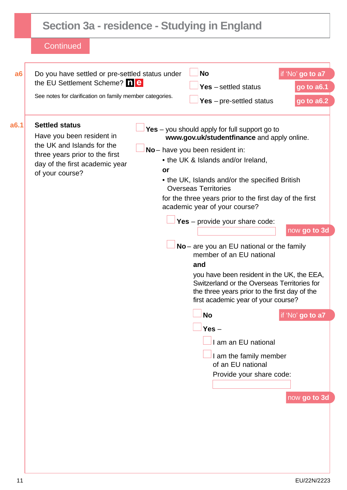### **Section 3a - residence - Studying in England Continued a6 Do you have settled or pre-settled status under** the EU Settlement Scheme? **ne**  See notes for clarification on family member categories. **No** if 'No' **go to a7 Yes** – settled status **go to a6.1 Yes** – pre-settled status **go to a6.2 Settled status** Have you been resident in the UK and Islands for the three years prior to the first day of the first academic year of your course? Yes – you should apply for full support go to **[www.gov.uk/studentfinance](http://www.gov.uk/studentfinance)** and apply online. **No** – have you been resident in: • the UK & Islands and/or Ireland. **or**  • the UK, Islands and/or the specified British Overseas Territories for the three years prior to the first day of the first academic year of your course? **Yes** – provide your share code: now **go to 3d No** – are you an EU national or the family member of an EU national **and** you have been resident in the UK, the EEA, Switzerland or the Overseas Territories for the three years prior to the first day of the first academic year of your course? **No** if 'No' **go to a7 Yes** – I am an EU national I am the family member of an EU national Provide your share code: now **go to 3d**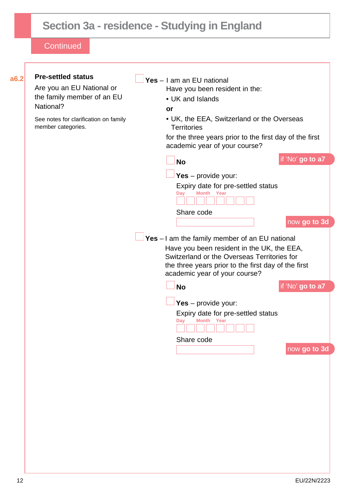## **Section 3a - residence - Studying in England**

|                                                             | Yes $-$ I am an EU national                                                              |
|-------------------------------------------------------------|------------------------------------------------------------------------------------------|
| Are you an EU National or                                   | Have you been resident in the:                                                           |
| the family member of an EU                                  | • UK and Islands                                                                         |
| National?                                                   | or                                                                                       |
| See notes for clarification on family<br>member categories. | • UK, the EEA, Switzerland or the Overseas<br><b>Territories</b>                         |
|                                                             | for the three years prior to the first day of the first<br>academic year of your course? |
|                                                             | if 'No' go to a7<br><b>No</b>                                                            |
|                                                             | Yes $-$ provide your:                                                                    |
|                                                             | Expiry date for pre-settled status                                                       |
|                                                             | <b>Month</b><br>Year<br>Dav                                                              |
|                                                             | Share code                                                                               |
|                                                             | now go to 3d                                                                             |
|                                                             | $Yes - I$ am the family member of an EU national                                         |
|                                                             | Have you been resident in the UK, the EEA,                                               |
|                                                             | Switzerland or the Overseas Territories for                                              |
|                                                             | the three years prior to the first day of the first                                      |
|                                                             | academic year of your course?                                                            |
|                                                             | if 'No' go to a7<br><b>No</b>                                                            |
|                                                             |                                                                                          |
|                                                             | Yes $-$ provide your:                                                                    |
|                                                             | Expiry date for pre-settled status<br><b>Month</b><br>Year                               |
|                                                             | Day                                                                                      |
|                                                             | Share code                                                                               |
|                                                             | now go to 3d                                                                             |
|                                                             |                                                                                          |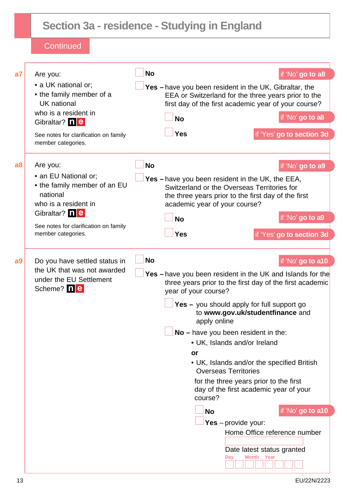## **Section 3a - residence - Studying in England**

| a7             | Are you:                                                                                              | <b>No</b> |                                                                                                                                                                       |                                                                                                    | if 'No' go to a8          |  |
|----------------|-------------------------------------------------------------------------------------------------------|-----------|-----------------------------------------------------------------------------------------------------------------------------------------------------------------------|----------------------------------------------------------------------------------------------------|---------------------------|--|
|                | • a UK national or:<br>• the family member of a<br>UK national                                        |           | Yes - have you been resident in the UK, Gibraltar, the<br>EEA or Switzerland for the three years prior to the<br>first day of the first academic year of your course? |                                                                                                    |                           |  |
|                | who is a resident in<br>Gibraltar? ne                                                                 |           | <b>No</b>                                                                                                                                                             |                                                                                                    | if 'No' go to a8          |  |
|                | See notes for clarification on family<br>member categories.                                           |           | <b>Yes</b>                                                                                                                                                            |                                                                                                    | if 'Yes' go to section 3d |  |
| a <sub>8</sub> | Are you:                                                                                              | <b>No</b> |                                                                                                                                                                       |                                                                                                    | if 'No' go to a9          |  |
|                | • an EU National or:<br>• the family member of an EU<br>national<br>who is a resident in              |           | <b>Yes</b> - have you been resident in the UK, the EEA,<br>academic year of your course?                                                                              | Switzerland or the Overseas Territories for<br>the three years prior to the first day of the first |                           |  |
|                | Gibraltar? ne<br>See notes for clarification on family                                                |           | <b>No</b>                                                                                                                                                             |                                                                                                    | if 'No' go to a9          |  |
|                | member categories.                                                                                    |           | Yes                                                                                                                                                                   |                                                                                                    | if 'Yes' go to section 3d |  |
| a <sub>9</sub> | Do you have settled status in<br>the UK that was not awarded<br>under the EU Settlement<br>Scheme? ne | <b>No</b> | if 'No' go to a10<br>Yes - have you been resident in the UK and Islands for the<br>three years prior to the first day of the first academic<br>year of your course?   |                                                                                                    |                           |  |
|                |                                                                                                       |           | apply online                                                                                                                                                          | Yes - you should apply for full support go<br>to www.gov.uk/studentfinance and                     |                           |  |
|                |                                                                                                       |           |                                                                                                                                                                       | $No$ – have you been resident in the:                                                              |                           |  |
|                |                                                                                                       |           | <b>or</b>                                                                                                                                                             | • UK, Islands and/or Ireland                                                                       |                           |  |
|                |                                                                                                       |           |                                                                                                                                                                       | • UK, Islands and/or the specified British<br><b>Overseas Territories</b>                          |                           |  |
|                |                                                                                                       |           | course?                                                                                                                                                               | for the three years prior to the first<br>day of the first academic year of your                   |                           |  |
|                |                                                                                                       |           | <b>No</b>                                                                                                                                                             |                                                                                                    | if 'No' go to a10         |  |
|                |                                                                                                       |           |                                                                                                                                                                       | Yes - provide your:<br>Home Office reference number                                                |                           |  |
|                |                                                                                                       |           |                                                                                                                                                                       |                                                                                                    |                           |  |
|                |                                                                                                       |           |                                                                                                                                                                       | Date latest status granted<br>Day<br>Month<br>Year                                                 |                           |  |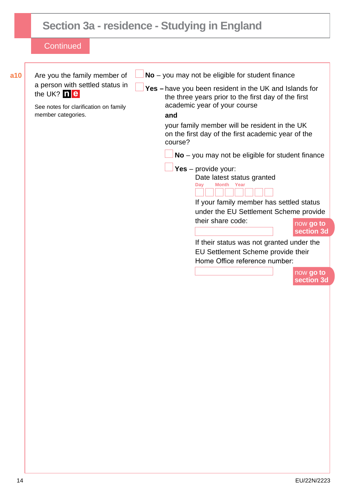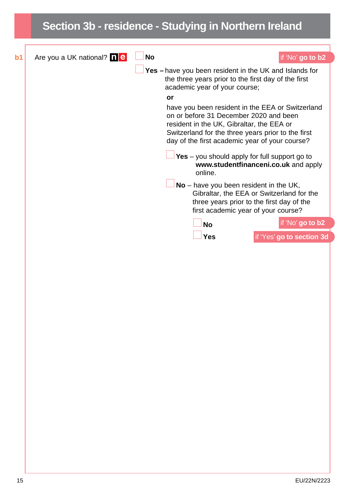## **Section 3b - residence - Studying in Northern Ireland b1** Are you a UK national? **No if** 'No' **go to b2 Yes –** have you been resident in the UK and Islands for the three years prior to the first day of the first academic year of your course; **or** have you been resident in the EEA or Switzerland on or before 31 December 2020 and been resident in the UK, Gibraltar, the EEA or Switzerland for the three years prior to the first day of the first academic year of your course? **Yes** – you should apply for full support go to **[www.studentfinanceni.co.uk](http://www.studentfinanceni.co.uk)** and apply online. **No** – have you been resident in the UK, Gibraltar, the EEA or Switzerland for the three years prior to the first day of the first academic year of your course? **No** if 'No' **go to b2 Yes** if 'Yes' **go to section 3d**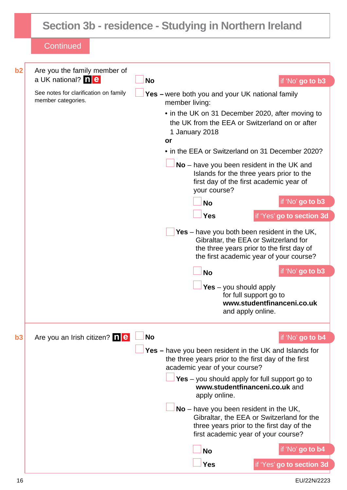## **Section 3b - residence - Studying in Northern Ireland**

| b2 | Are you the family member of<br>a UK national? <b>ne</b>    | <b>No</b> |                                                                                                                                                                               | if 'No' go to b3           |
|----|-------------------------------------------------------------|-----------|-------------------------------------------------------------------------------------------------------------------------------------------------------------------------------|----------------------------|
|    | See notes for clarification on family<br>member categories. |           | Yes - were both you and your UK national family<br>member living:                                                                                                             |                            |
|    |                                                             |           | • in the UK on 31 December 2020, after moving to<br>the UK from the EEA or Switzerland on or after<br>1 January 2018<br>or                                                    |                            |
|    |                                                             |           | • in the EEA or Switzerland on 31 December 2020?                                                                                                                              |                            |
|    |                                                             |           | $No$ – have you been resident in the UK and<br>Islands for the three years prior to the<br>first day of the first academic year of<br>your course?                            |                            |
|    |                                                             |           | <b>No</b>                                                                                                                                                                     | if 'No' go to b3           |
|    |                                                             |           | <b>Yes</b>                                                                                                                                                                    | if 'Yes' go to section 3d  |
|    |                                                             |           | Yes – have you both been resident in the UK,<br>Gibraltar, the EEA or Switzerland for<br>the three years prior to the first day of<br>the first academic year of your course? |                            |
|    |                                                             |           | <b>No</b>                                                                                                                                                                     | if 'No' go to b3           |
|    |                                                             |           | Yes $-$ you should apply<br>for full support go to<br>and apply online.                                                                                                       | www.studentfinanceni.co.uk |
|    |                                                             |           |                                                                                                                                                                               |                            |
|    |                                                             |           |                                                                                                                                                                               |                            |
| b3 | Are you an Irish citizen? <b>ne</b>                         | <b>No</b> |                                                                                                                                                                               | if 'No' go to b4           |
|    |                                                             |           | <b>Yes</b> – have you been resident in the UK and Islands for<br>the three years prior to the first day of the first<br>academic year of your course?                         |                            |
|    |                                                             |           | Yes $-$ you should apply for full support go to<br>www.studentfinanceni.co.uk and<br>apply online.                                                                            |                            |
|    |                                                             |           | $No$ – have you been resident in the UK,<br>Gibraltar, the EEA or Switzerland for the<br>three years prior to the first day of the<br>first academic year of your course?     |                            |
|    |                                                             |           | <b>No</b>                                                                                                                                                                     | if 'No' go to b4           |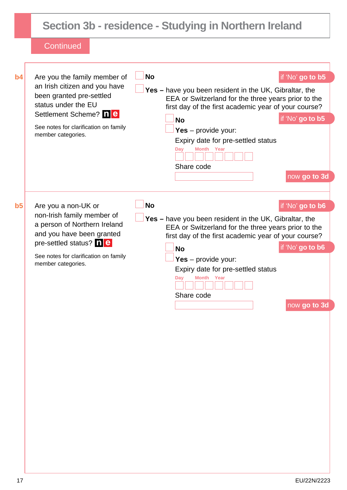|                |                                                                                                                                                                                                          |           | Section 3b - residence - Studying in Northern Ireland                                                                                                                                                                                                                                                                                                      |
|----------------|----------------------------------------------------------------------------------------------------------------------------------------------------------------------------------------------------------|-----------|------------------------------------------------------------------------------------------------------------------------------------------------------------------------------------------------------------------------------------------------------------------------------------------------------------------------------------------------------------|
|                | Continued                                                                                                                                                                                                |           |                                                                                                                                                                                                                                                                                                                                                            |
| b4             | Are you the family member of<br>an Irish citizen and you have<br>been granted pre-settled<br>status under the EU<br>Settlement Scheme? ne<br>See notes for clarification on family<br>member categories. | <b>No</b> | if 'No' go to b5<br><b>Yes</b> – have you been resident in the UK, Gibraltar, the<br>EEA or Switzerland for the three years prior to the<br>first day of the first academic year of your course?<br>if 'No' go to b5<br><b>No</b><br>Yes $-$ provide your:<br>Expiry date for pre-settled status<br><b>Month Year</b><br>Day<br>Share code<br>now go to 3d |
| b <sub>5</sub> | Are you a non-UK or<br>non-Irish family member of<br>a person of Northern Ireland<br>and you have been granted<br>pre-settled status? ne<br>See notes for clarification on family<br>member categories.  | <b>No</b> | if 'No' go to b6<br>Yes - have you been resident in the UK, Gibraltar, the<br>EEA or Switzerland for the three years prior to the<br>first day of the first academic year of your course?<br>if 'No' go to b6<br><b>No</b><br>Yes $-$ provide your:<br>Expiry date for pre-settled status<br>Day<br>Month Year<br>Share code<br>now go to 3d               |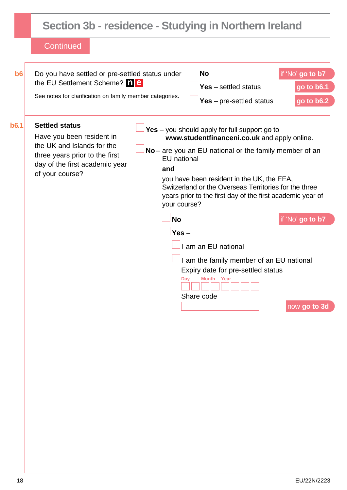|             | Section 3b - residence - Studying in Northern Ireland                                                                                                                   |                  |                                                                                                                                                                                                                                                                                                                                                                                          |                                              |  |
|-------------|-------------------------------------------------------------------------------------------------------------------------------------------------------------------------|------------------|------------------------------------------------------------------------------------------------------------------------------------------------------------------------------------------------------------------------------------------------------------------------------------------------------------------------------------------------------------------------------------------|----------------------------------------------|--|
|             | Continued                                                                                                                                                               |                  |                                                                                                                                                                                                                                                                                                                                                                                          |                                              |  |
| b6          | Do you have settled or pre-settled status under<br>the EU Settlement Scheme? ne<br>See notes for clarification on family member categories.                             |                  | <b>No</b><br>$Yes - settled status$<br>Yes $-$ pre-settled status                                                                                                                                                                                                                                                                                                                        | if 'No' go to b7<br>go to b6.1<br>go to b6.2 |  |
| <b>b6.1</b> | <b>Settled status</b><br>Have you been resident in<br>the UK and Islands for the<br>three years prior to the first<br>day of the first academic year<br>of your course? | and<br><b>No</b> | Yes $-$ you should apply for full support go to<br>www.studentfinanceni.co.uk and apply online.<br>No – are you an EU national or the family member of an<br><b>EU</b> national<br>you have been resident in the UK, the EEA,<br>Switzerland or the Overseas Territories for the three<br>years prior to the first day of the first academic year of<br>your course?<br>if 'No' go to b7 |                                              |  |
|             |                                                                                                                                                                         | $Yes -$          | I am an EU national<br>I am the family member of an EU national<br>Expiry date for pre-settled status<br>Day<br><b>Month</b> Year<br>Share code                                                                                                                                                                                                                                          | now go to 3d                                 |  |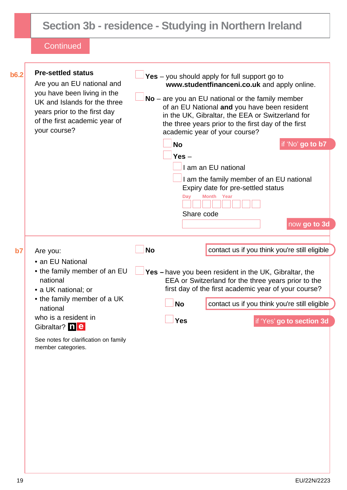## **Section 3b - residence - Studying in Northern Ireland**

| b6.2 | <b>Pre-settled status</b><br>Are you an EU national and<br>you have been living in the<br>UK and Islands for the three<br>years prior to the first day<br>of the first academic year of<br>your course?                                            | Yes - you should apply for full support go to<br>www.studentfinanceni.co.uk and apply online.<br>$No$ – are you an EU national or the family member<br>of an EU National and you have been resident<br>in the UK, Gibraltar, the EEA or Switzerland for<br>the three years prior to the first day of the first<br>academic year of your course? |
|------|----------------------------------------------------------------------------------------------------------------------------------------------------------------------------------------------------------------------------------------------------|-------------------------------------------------------------------------------------------------------------------------------------------------------------------------------------------------------------------------------------------------------------------------------------------------------------------------------------------------|
|      |                                                                                                                                                                                                                                                    | if 'No' go to b7<br><b>No</b><br>Yes $-$<br>I am an EU national<br>I am the family member of an EU national<br>Expiry date for pre-settled status<br>Month<br>Year<br>Day<br>Share code<br>now go to 3d                                                                                                                                         |
| b7   | Are you:<br>• an EU National<br>• the family member of an EU<br>national<br>• a UK national; or<br>• the family member of a UK<br>national<br>who is a resident in<br>Gibraltar? ne<br>See notes for clarification on family<br>member categories. | contact us if you think you're still eligible<br><b>No</b><br>Yes - have you been resident in the UK, Gibraltar, the<br>EEA or Switzerland for the three years prior to the<br>first day of the first academic year of your course?<br><b>No</b><br>contact us if you think you're still eligible<br><b>Yes</b><br>if 'Yes' go to section 3d    |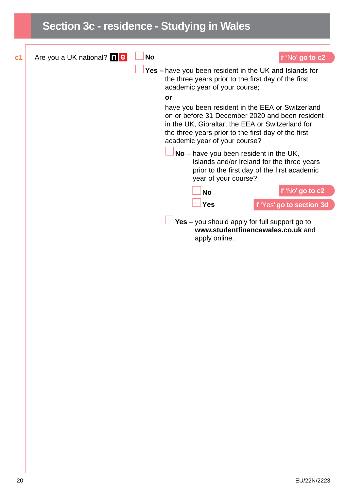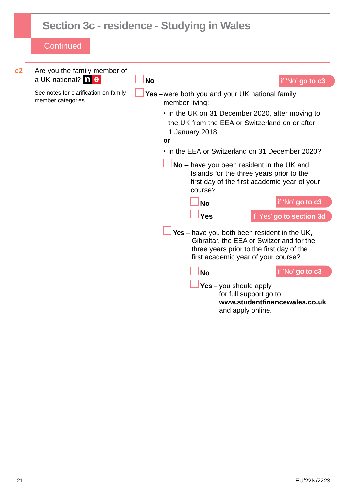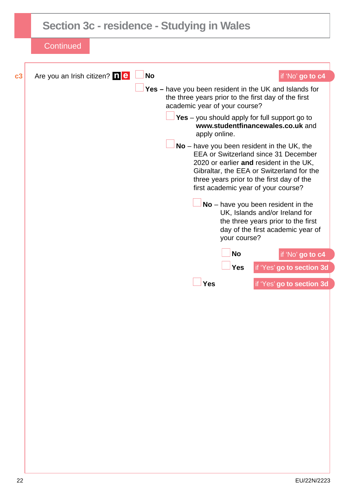|    | Section 3c - residence - Studying in Wales                                                                                                                                                                                                                              |
|----|-------------------------------------------------------------------------------------------------------------------------------------------------------------------------------------------------------------------------------------------------------------------------|
|    | <b>Continued</b>                                                                                                                                                                                                                                                        |
| c3 | <b>No</b><br>Are you an Irish citizen? <b>1 e</b><br>if 'No' go to c4                                                                                                                                                                                                   |
|    | Yes - have you been resident in the UK and Islands for<br>the three years prior to the first day of the first<br>academic year of your course?                                                                                                                          |
|    | Yes $-$ you should apply for full support go to<br>www.studentfinancewales.co.uk and<br>apply online.                                                                                                                                                                   |
|    | $No$ – have you been resident in the UK, the<br><b>EEA or Switzerland since 31 December</b><br>2020 or earlier and resident in the UK,<br>Gibraltar, the EEA or Switzerland for the<br>three years prior to the first day of the<br>first academic year of your course? |
|    | $No$ – have you been resident in the<br>UK, Islands and/or Ireland for<br>the three years prior to the first<br>day of the first academic year of<br>your course?                                                                                                       |
|    | <b>No</b><br>if 'No' go to c4<br>if 'Yes' go to section 3d<br><b>Yes</b>                                                                                                                                                                                                |
|    | Yes<br>if 'Yes' go to section 3d                                                                                                                                                                                                                                        |
|    |                                                                                                                                                                                                                                                                         |
|    |                                                                                                                                                                                                                                                                         |
|    |                                                                                                                                                                                                                                                                         |
|    |                                                                                                                                                                                                                                                                         |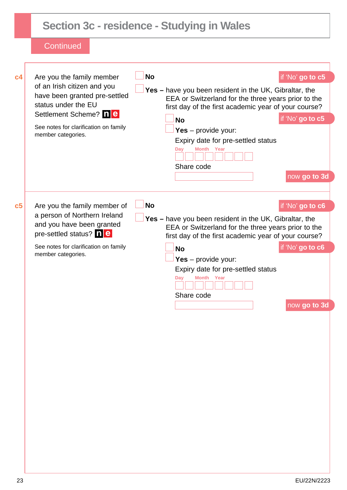|                | <b>Section 3c - residence - Studying in Wales</b>                                                                                                                                                        |           |                                                                                                                                                                                                                                                                                             |                                                      |
|----------------|----------------------------------------------------------------------------------------------------------------------------------------------------------------------------------------------------------|-----------|---------------------------------------------------------------------------------------------------------------------------------------------------------------------------------------------------------------------------------------------------------------------------------------------|------------------------------------------------------|
|                | Continued                                                                                                                                                                                                |           |                                                                                                                                                                                                                                                                                             |                                                      |
| c4             | Are you the family member<br>of an Irish citizen and you<br>have been granted pre-settled<br>status under the EU<br>Settlement Scheme? ne<br>See notes for clarification on family<br>member categories. | <b>No</b> | Yes - have you been resident in the UK, Gibraltar, the<br>EEA or Switzerland for the three years prior to the<br>first day of the first academic year of your course?<br><b>No</b><br>Yes $-$ provide your:<br>Expiry date for pre-settled status<br>Month Year<br>Day<br>Share code        | if 'No' go to c5<br>if 'No' go to c5<br>now go to 3d |
| c <sub>5</sub> | Are you the family member of<br>a person of Northern Ireland<br>and you have been granted<br>pre-settled status? ne<br>See notes for clarification on family<br>member categories.                       | <b>No</b> | Yes - have you been resident in the UK, Gibraltar, the<br>EEA or Switzerland for the three years prior to the<br>first day of the first academic year of your course?<br><b>No</b><br>Yes $-$ provide your:<br>Expiry date for pre-settled status<br>Day<br><b>Month</b> Year<br>Share code | if 'No' go to c6<br>if 'No' go to c6<br>now go to 3d |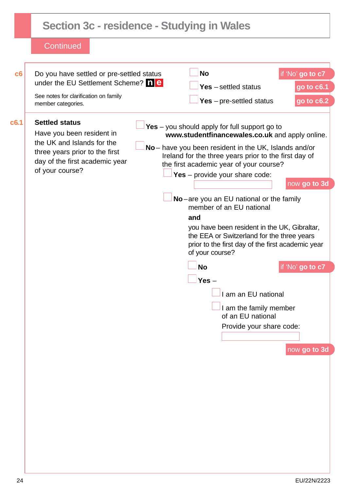|                                                                                                                                                                         |                                                                                                                                                                                                                                                                                                                                                                                                                          | if 'No' go to c7                                                                                                                                                                                                                                              |
|-------------------------------------------------------------------------------------------------------------------------------------------------------------------------|--------------------------------------------------------------------------------------------------------------------------------------------------------------------------------------------------------------------------------------------------------------------------------------------------------------------------------------------------------------------------------------------------------------------------|---------------------------------------------------------------------------------------------------------------------------------------------------------------------------------------------------------------------------------------------------------------|
|                                                                                                                                                                         |                                                                                                                                                                                                                                                                                                                                                                                                                          | go to c6.1                                                                                                                                                                                                                                                    |
| member categories.                                                                                                                                                      | Yes $-$ pre-settled status                                                                                                                                                                                                                                                                                                                                                                                               | go to c6.2                                                                                                                                                                                                                                                    |
| <b>Settled status</b><br>Have you been resident in<br>the UK and Islands for the<br>three years prior to the first<br>day of the first academic year<br>of your course? | www.studentfinancewales.co.uk and apply online.<br>Ireland for the three years prior to the first day of<br>the first academic year of your course?<br>Yes $-$ provide your share code:<br>No-are you an EU national or the family<br>member of an EU national<br>and<br>you have been resident in the UK, Gibraltar,<br>the EEA or Switzerland for the three years<br>prior to the first day of the first academic year | now go to 3d                                                                                                                                                                                                                                                  |
|                                                                                                                                                                         | <b>No</b>                                                                                                                                                                                                                                                                                                                                                                                                                | if 'No' go to c7                                                                                                                                                                                                                                              |
|                                                                                                                                                                         | Yes $-$<br>am an EU national<br>I am the family member<br>of an EU national<br>Provide your share code:                                                                                                                                                                                                                                                                                                                  | now go to 3d                                                                                                                                                                                                                                                  |
|                                                                                                                                                                         | See notes for clarification on family                                                                                                                                                                                                                                                                                                                                                                                    | <b>No</b><br>Do you have settled or pre-settled status<br>under the EU Settlement Scheme? 1 <b>e</b><br>$Yes - settled status$<br>Yes $-$ you should apply for full support go to<br>No - have you been resident in the UK, Islands and/or<br>of your course? |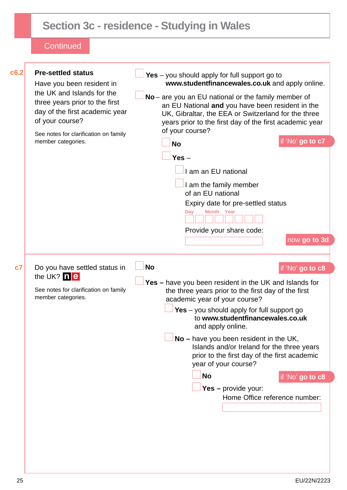| c6.2 | <b>Pre-settled status</b><br>Have you been resident in<br>the UK and Islands for the<br>three years prior to the first<br>day of the first academic year | Yes $-$ you should apply for full support go to<br>www.studentfinancewales.co.uk and apply online.<br>No - are you an EU national or the family member of<br>an EU National and you have been resident in the |                               |
|------|----------------------------------------------------------------------------------------------------------------------------------------------------------|---------------------------------------------------------------------------------------------------------------------------------------------------------------------------------------------------------------|-------------------------------|
|      | of your course?<br>See notes for clarification on family                                                                                                 | UK, Gibraltar, the EEA or Switzerland for the three<br>years prior to the first day of the first academic year<br>of your course?                                                                             |                               |
|      | member categories.                                                                                                                                       | <b>No</b>                                                                                                                                                                                                     | if 'No' go to c7              |
|      |                                                                                                                                                          | Yes $-$                                                                                                                                                                                                       |                               |
|      |                                                                                                                                                          | am an EU national                                                                                                                                                                                             |                               |
|      |                                                                                                                                                          | I am the family member<br>of an EU national                                                                                                                                                                   |                               |
|      |                                                                                                                                                          | Expiry date for pre-settled status<br><b>Month</b> Year<br>Day                                                                                                                                                |                               |
|      |                                                                                                                                                          | Provide your share code:                                                                                                                                                                                      | now go to 3d                  |
| c7   | Do you have settled status in                                                                                                                            | <b>No</b>                                                                                                                                                                                                     | if 'No' go to c8              |
|      | the UK? ne<br>See notes for clarification on family<br>member categories.                                                                                | Yes - have you been resident in the UK and Islands for<br>the three years prior to the first day of the first                                                                                                 |                               |
|      |                                                                                                                                                          | academic year of your course?<br>Yes - you should apply for full support go<br>to www.studentfinancewales.co.uk<br>and apply online.                                                                          |                               |
|      |                                                                                                                                                          | $No$ – have you been resident in the UK,<br>Islands and/or Ireland for the three years<br>prior to the first day of the first academic<br>year of your course?                                                |                               |
|      |                                                                                                                                                          | <b>No</b>                                                                                                                                                                                                     | if 'No' go to c8              |
|      |                                                                                                                                                          | Yes - provide your:                                                                                                                                                                                           | Home Office reference number: |
|      |                                                                                                                                                          |                                                                                                                                                                                                               |                               |
|      |                                                                                                                                                          |                                                                                                                                                                                                               |                               |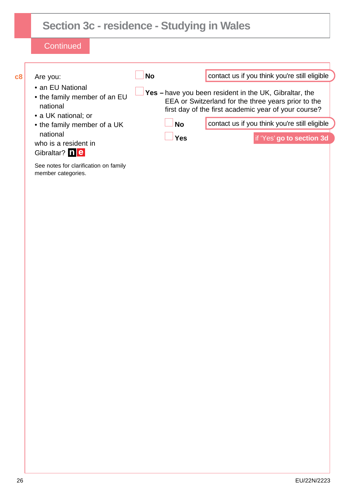| c8 | Are you:                                                                            | <b>No</b>  | contact us if you think you're still eligible                                                                                                                         |
|----|-------------------------------------------------------------------------------------|------------|-----------------------------------------------------------------------------------------------------------------------------------------------------------------------|
|    | • an EU National<br>• the family member of an EU<br>national<br>• a UK national; or |            | Yes - have you been resident in the UK, Gibraltar, the<br>EEA or Switzerland for the three years prior to the<br>first day of the first academic year of your course? |
|    | • the family member of a UK                                                         | <b>No</b>  | contact us if you think you're still eligible                                                                                                                         |
|    | national<br>who is a resident in<br>Gibraltar? ne                                   | <b>Yes</b> | if 'Yes' go to section 3d                                                                                                                                             |
|    | See notes for clarification on family<br>member categories.                         |            |                                                                                                                                                                       |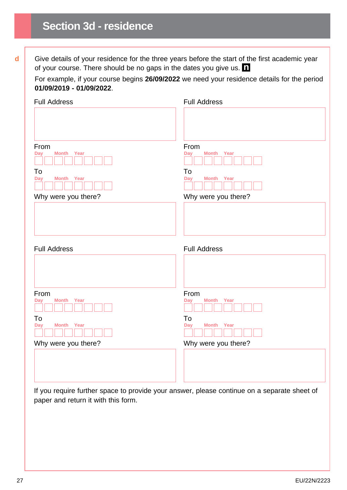**d** Give details of your residence for the three years before the start of the first academic year of your course. There should be no gaps in the dates you give us.  $\blacksquare$ 

For example, if your course begins **26/09/2022** we need your residence details for the period **01/09/2019 - 01/09/2022**.

| <b>Full Address</b>                                                                    | <b>Full Address</b>                                                                    |
|----------------------------------------------------------------------------------------|----------------------------------------------------------------------------------------|
| From<br><b>Month</b><br>Year<br><b>Day</b><br>To<br><b>Day</b><br><b>Month</b><br>Year | From<br><b>Month</b><br>Year<br><b>Day</b><br>To<br>Year<br><b>Day</b><br><b>Month</b> |
| Why were you there?                                                                    | Why were you there?                                                                    |
| <b>Full Address</b>                                                                    | <b>Full Address</b>                                                                    |
|                                                                                        |                                                                                        |
| From<br><b>Day</b><br><b>Month</b><br>Year                                             | From<br><b>Day</b><br><b>Month</b><br>Year                                             |
| To<br><b>Day</b><br><b>Month</b><br>Year                                               | To<br>Year<br><b>Day</b><br><b>Month</b>                                               |
| Why were you there?                                                                    | Why were you there?                                                                    |
|                                                                                        |                                                                                        |

If you require further space to provide your answer, please continue on a separate sheet of paper and return it with this form.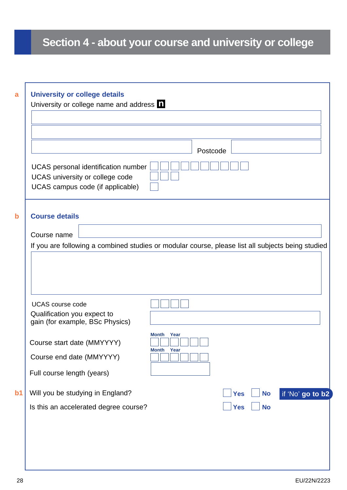## **Section 4 - about your course and university or college**

|                                                                                                            | Postcode                 |                         |                  |
|------------------------------------------------------------------------------------------------------------|--------------------------|-------------------------|------------------|
| UCAS personal identification number<br>UCAS university or college code<br>UCAS campus code (if applicable) |                          |                         |                  |
| <b>Course details</b>                                                                                      |                          |                         |                  |
| Course name                                                                                                |                          |                         |                  |
| If you are following a combined studies or modular course, please list all subjects being studied          |                          |                         |                  |
|                                                                                                            |                          |                         |                  |
| <b>UCAS</b> course code<br>Qualification you expect to<br>gain (for example, BSc Physics)                  |                          |                         |                  |
| Course start date (MMYYYY)                                                                                 | Month Year<br>Month Year |                         |                  |
| Course end date (MMYYYY)<br>Full course length (years)                                                     |                          |                         |                  |
| Will you be studying in England?                                                                           |                          | <b>Yes</b><br><b>No</b> | if 'No' go to b2 |
| Is this an accelerated degree course?                                                                      |                          | <b>Yes</b><br><b>No</b> |                  |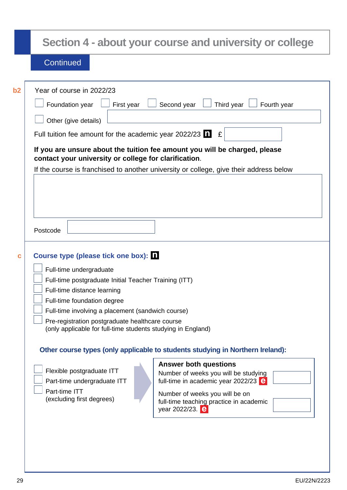|         | Section 4 - about your course and university or college                                                                                                                                                                                                                                                                                                                                                                                                                                                                                                                                                                                                                                                                                                                                                                                                                                                                                                                                                                                                                                                                                                                                                                      |
|---------|------------------------------------------------------------------------------------------------------------------------------------------------------------------------------------------------------------------------------------------------------------------------------------------------------------------------------------------------------------------------------------------------------------------------------------------------------------------------------------------------------------------------------------------------------------------------------------------------------------------------------------------------------------------------------------------------------------------------------------------------------------------------------------------------------------------------------------------------------------------------------------------------------------------------------------------------------------------------------------------------------------------------------------------------------------------------------------------------------------------------------------------------------------------------------------------------------------------------------|
|         | Continued                                                                                                                                                                                                                                                                                                                                                                                                                                                                                                                                                                                                                                                                                                                                                                                                                                                                                                                                                                                                                                                                                                                                                                                                                    |
| b2<br>C | Year of course in 2022/23<br>Second year<br>Third year<br>Foundation year<br>First year<br>Fourth year<br>Other (give details)<br>Full tuition fee amount for the academic year 2022/23 $\blacksquare$<br>£<br>If you are unsure about the tuition fee amount you will be charged, please<br>contact your university or college for clarification.<br>If the course is franchised to another university or college, give their address below<br>Postcode<br>Course type (please tick one box): 1<br>Full-time undergraduate<br>Full-time postgraduate Initial Teacher Training (ITT)<br>Full-time distance learning<br>Full-time foundation degree<br>Full-time involving a placement (sandwich course)<br>Pre-registration postgraduate healthcare course<br>(only applicable for full-time students studying in England)<br>Other course types (only applicable to students studying in Northern Ireland):<br><b>Answer both questions</b><br>Flexible postgraduate ITT<br>Number of weeks you will be studying<br>full-time in academic year 2022/23 $\epsilon$<br>Part-time undergraduate ITT<br>Part-time ITT<br>Number of weeks you will be on<br>(excluding first degrees)<br>full-time teaching practice in academic |
|         | year 2022/23. <b>e</b>                                                                                                                                                                                                                                                                                                                                                                                                                                                                                                                                                                                                                                                                                                                                                                                                                                                                                                                                                                                                                                                                                                                                                                                                       |
|         |                                                                                                                                                                                                                                                                                                                                                                                                                                                                                                                                                                                                                                                                                                                                                                                                                                                                                                                                                                                                                                                                                                                                                                                                                              |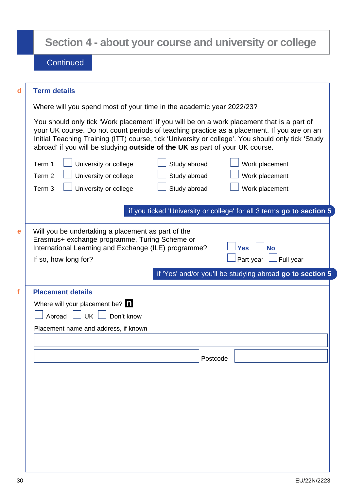| <b>Term details</b>                                                                                                                                                                                                                                                                                                                                                           |
|-------------------------------------------------------------------------------------------------------------------------------------------------------------------------------------------------------------------------------------------------------------------------------------------------------------------------------------------------------------------------------|
| Where will you spend most of your time in the academic year 2022/23?                                                                                                                                                                                                                                                                                                          |
| You should only tick 'Work placement' if you will be on a work placement that is a part of<br>your UK course. Do not count periods of teaching practice as a placement. If you are on an<br>Initial Teaching Training (ITT) course, tick 'University or college'. You should only tick 'Study<br>abroad' if you will be studying outside of the UK as part of your UK course. |
| Study abroad<br>Term 1<br>University or college<br>Work placement                                                                                                                                                                                                                                                                                                             |
| Study abroad<br>Term 2<br>University or college<br>Work placement                                                                                                                                                                                                                                                                                                             |
| Term 3<br>University or college<br>Study abroad<br>Work placement                                                                                                                                                                                                                                                                                                             |
| International Learning and Exchange (ILE) programme?<br><b>Yes</b><br>If so, how long for?<br>Part year<br>Full year<br>if 'Yes' and/or you'll be studying abroad go to section 5                                                                                                                                                                                             |
|                                                                                                                                                                                                                                                                                                                                                                               |
| <b>Placement details</b><br>Where will your placement be? $\blacksquare$                                                                                                                                                                                                                                                                                                      |
|                                                                                                                                                                                                                                                                                                                                                                               |
| Abroad UK Don't know                                                                                                                                                                                                                                                                                                                                                          |
| Placement name and address, if known                                                                                                                                                                                                                                                                                                                                          |
|                                                                                                                                                                                                                                                                                                                                                                               |
|                                                                                                                                                                                                                                                                                                                                                                               |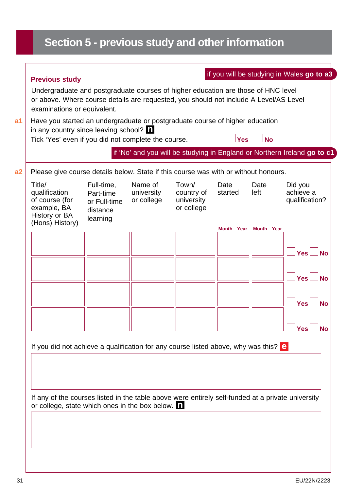## **Section 5 - previous study and other information**

| Please give course details below. State if this course was with or without honours.<br>Date<br>Date<br>Did you<br>left<br>achieve a<br>country of<br>started<br>qualification?<br>university<br>or college<br>Month Year<br>Month Year |           |
|----------------------------------------------------------------------------------------------------------------------------------------------------------------------------------------------------------------------------------------|-----------|
|                                                                                                                                                                                                                                        |           |
|                                                                                                                                                                                                                                        |           |
|                                                                                                                                                                                                                                        |           |
| <b>Yes</b>                                                                                                                                                                                                                             | <b>No</b> |
| <b>Yes</b>                                                                                                                                                                                                                             | <b>No</b> |
| <b>Yes</b>                                                                                                                                                                                                                             |           |
| <b>Yes</b>                                                                                                                                                                                                                             | <b>No</b> |
| If you did not achieve a qualification for any course listed above, why was this? $\theta$                                                                                                                                             |           |
|                                                                                                                                                                                                                                        |           |
|                                                                                                                                                                                                                                        |           |
|                                                                                                                                                                                                                                        |           |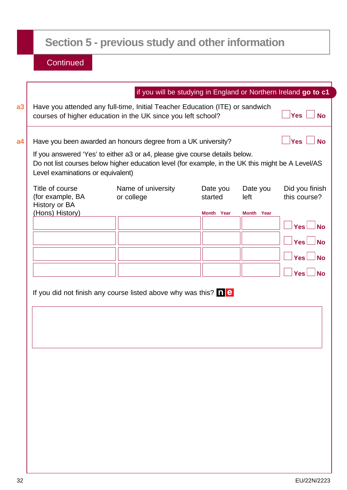## **Section 5 - previous study and other information**

| if you will be studying in England or Northern Ireland go to c1<br>Yes<br>Yes<br>If you answered 'Yes' to either a3 or a4, please give course details below.<br>Title of course<br>Name of university<br>Date you<br>Date you<br>(for example, BA<br>or college<br>started<br>left<br>History or BA<br>(Hons) History)<br>Month Year<br>Month Year<br>Yes<br>Yes<br>$Yes$ $\Box$<br><b>Yes</b>                                         |  |  |                                |
|----------------------------------------------------------------------------------------------------------------------------------------------------------------------------------------------------------------------------------------------------------------------------------------------------------------------------------------------------------------------------------------------------------------------------------------|--|--|--------------------------------|
| Have you attended any full-time, Initial Teacher Education (ITE) or sandwich<br>courses of higher education in the UK since you left school?<br>Have you been awarded an honours degree from a UK university?<br>Do not list courses below higher education level (for example, in the UK this might be A Level/AS<br>Level examinations or equivalent)<br>If you did not finish any course listed above why was this? $\Box$ $\Theta$ |  |  |                                |
|                                                                                                                                                                                                                                                                                                                                                                                                                                        |  |  | <b>No</b>                      |
|                                                                                                                                                                                                                                                                                                                                                                                                                                        |  |  | <b>No</b>                      |
|                                                                                                                                                                                                                                                                                                                                                                                                                                        |  |  |                                |
|                                                                                                                                                                                                                                                                                                                                                                                                                                        |  |  | Did you finish<br>this course? |
|                                                                                                                                                                                                                                                                                                                                                                                                                                        |  |  |                                |
|                                                                                                                                                                                                                                                                                                                                                                                                                                        |  |  | ⊥No                            |
|                                                                                                                                                                                                                                                                                                                                                                                                                                        |  |  | $\overline{\mathsf{N}}$ o      |
|                                                                                                                                                                                                                                                                                                                                                                                                                                        |  |  | <b>No</b>                      |
|                                                                                                                                                                                                                                                                                                                                                                                                                                        |  |  | <b>No</b>                      |
|                                                                                                                                                                                                                                                                                                                                                                                                                                        |  |  |                                |
|                                                                                                                                                                                                                                                                                                                                                                                                                                        |  |  |                                |
|                                                                                                                                                                                                                                                                                                                                                                                                                                        |  |  |                                |
|                                                                                                                                                                                                                                                                                                                                                                                                                                        |  |  |                                |
|                                                                                                                                                                                                                                                                                                                                                                                                                                        |  |  |                                |
|                                                                                                                                                                                                                                                                                                                                                                                                                                        |  |  |                                |
|                                                                                                                                                                                                                                                                                                                                                                                                                                        |  |  |                                |
|                                                                                                                                                                                                                                                                                                                                                                                                                                        |  |  |                                |
|                                                                                                                                                                                                                                                                                                                                                                                                                                        |  |  |                                |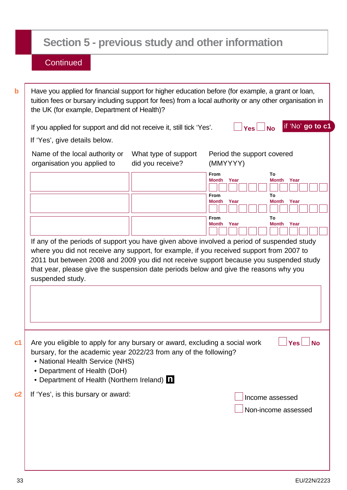## **Section 5 - previous study and other information**

| If you applied for support and did not receive it, still tick 'Yes'.                                                                                                                                                                                               |                                          | if 'No' go to c1<br>$Yes \Box No$                                                                                                                                                                                                                                                                                                                                                                           |
|--------------------------------------------------------------------------------------------------------------------------------------------------------------------------------------------------------------------------------------------------------------------|------------------------------------------|-------------------------------------------------------------------------------------------------------------------------------------------------------------------------------------------------------------------------------------------------------------------------------------------------------------------------------------------------------------------------------------------------------------|
| If 'Yes', give details below.                                                                                                                                                                                                                                      |                                          |                                                                                                                                                                                                                                                                                                                                                                                                             |
| Name of the local authority or<br>organisation you applied to                                                                                                                                                                                                      | What type of support<br>did you receive? | Period the support covered<br>(MMYYYY)                                                                                                                                                                                                                                                                                                                                                                      |
|                                                                                                                                                                                                                                                                    |                                          | <b>From</b><br>To<br><b>Month</b><br>Year<br>Month<br>Year<br><b>From</b><br>То<br>Month Year<br><b>Month</b> Year                                                                                                                                                                                                                                                                                          |
|                                                                                                                                                                                                                                                                    |                                          | To<br>From                                                                                                                                                                                                                                                                                                                                                                                                  |
| suspended study.                                                                                                                                                                                                                                                   |                                          | Year<br>Year<br>Month<br>Month<br>If any of the periods of support you have given above involved a period of suspended study<br>where you did not receive any support, for example, if you received support from 2007 to<br>2011 but between 2008 and 2009 you did not receive support because you suspended study<br>that year, please give the suspension date periods below and give the reasons why you |
|                                                                                                                                                                                                                                                                    |                                          |                                                                                                                                                                                                                                                                                                                                                                                                             |
| Are you eligible to apply for any bursary or award, excluding a social work<br>bursary, for the academic year 2022/23 from any of the following?<br>• National Health Service (NHS)<br>• Department of Health (DoH)<br>• Department of Health (Northern Ireland) 1 |                                          | $\Box$ Yes $\Box$ No                                                                                                                                                                                                                                                                                                                                                                                        |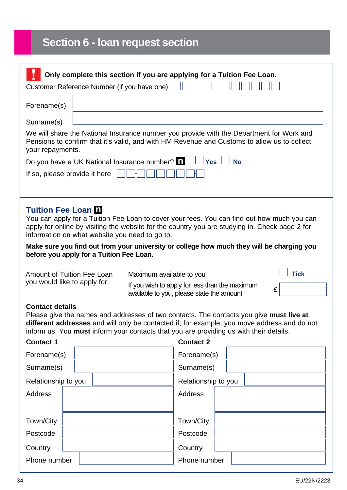## **Section 6 - loan request section**

| Only complete this section if you are applying for a Tuition Fee Loan.<br>Customer Reference Number (if you have one)                                                                                                                                                                                                                              |                                                                                                                 |  |
|----------------------------------------------------------------------------------------------------------------------------------------------------------------------------------------------------------------------------------------------------------------------------------------------------------------------------------------------------|-----------------------------------------------------------------------------------------------------------------|--|
| Forename(s)                                                                                                                                                                                                                                                                                                                                        |                                                                                                                 |  |
| Surname(s)                                                                                                                                                                                                                                                                                                                                         |                                                                                                                 |  |
| We will share the National Insurance number you provide with the Department for Work and<br>Pensions to confirm that it's valid, and with HM Revenue and Customs to allow us to collect<br>your repayments.                                                                                                                                        |                                                                                                                 |  |
| Do you have a UK National Insurance number? $\blacksquare$                                                                                                                                                                                                                                                                                         | <b>Yes</b><br><b>No</b>                                                                                         |  |
| If so, please provide it here                                                                                                                                                                                                                                                                                                                      |                                                                                                                 |  |
|                                                                                                                                                                                                                                                                                                                                                    |                                                                                                                 |  |
| <b>Tuition Fee Loan D</b><br>You can apply for a Tuition Fee Loan to cover your fees. You can find out how much you can<br>apply for online by visiting the website for the country you are studying in. Check page 2 for<br>information on what website you need to go to.                                                                        |                                                                                                                 |  |
| Make sure you find out from your university or college how much they will be charging you<br>before you apply for a Tuition Fee Loan.                                                                                                                                                                                                              |                                                                                                                 |  |
| Amount of Tuition Fee Loan<br>Maximum available to you<br>you would like to apply for:                                                                                                                                                                                                                                                             | <b>Tick</b><br>If you wish to apply for less than the maximum<br>£<br>available to you, please state the amount |  |
| <b>Contact details</b><br>Please give the names and addresses of two contacts. The contacts you give must live at<br>different addresses and will only be contacted if, for example, you move address and do not<br>inform us. You must inform your contacts that you are providing us with their details.<br><b>Contact 1</b><br><b>Contact 2</b> |                                                                                                                 |  |
| Forename(s)                                                                                                                                                                                                                                                                                                                                        | Forename(s)                                                                                                     |  |
| Surname(s)                                                                                                                                                                                                                                                                                                                                         | Surname(s)                                                                                                      |  |
| Relationship to you                                                                                                                                                                                                                                                                                                                                | Relationship to you                                                                                             |  |
| <b>Address</b>                                                                                                                                                                                                                                                                                                                                     | <b>Address</b>                                                                                                  |  |
|                                                                                                                                                                                                                                                                                                                                                    |                                                                                                                 |  |
| Town/City                                                                                                                                                                                                                                                                                                                                          | Town/City                                                                                                       |  |
| Postcode                                                                                                                                                                                                                                                                                                                                           | Postcode                                                                                                        |  |
| Country                                                                                                                                                                                                                                                                                                                                            | Country                                                                                                         |  |
| Phone number                                                                                                                                                                                                                                                                                                                                       | Phone number                                                                                                    |  |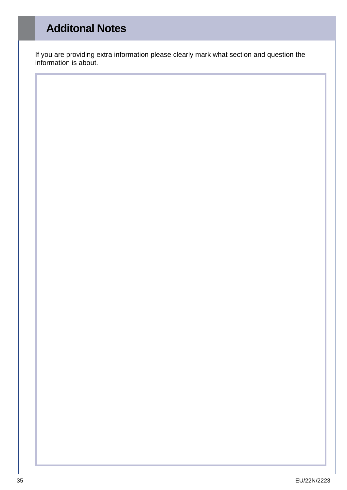## **Additonal Notes**

If you are providing extra information please clearly mark what section and question the information is about.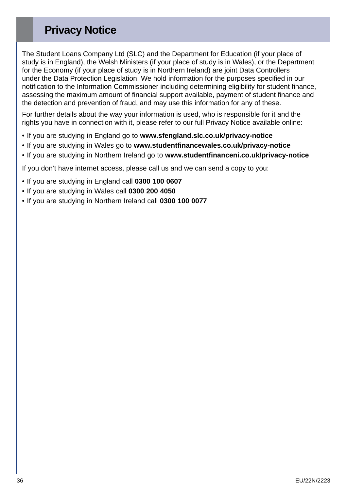### **Privacy Notice**

The Student Loans Company Ltd (SLC) and the Department for Education (if your place of study is in England), the Welsh Ministers (if your place of study is in Wales), or the Department for the Economy (if your place of study is in Northern Ireland) are joint Data Controllers under the Data Protection Legislation. We hold information for the purposes specified in our notification to the Information Commissioner including determining eligibility for student finance, assessing the maximum amount of financial support available, payment of student finance and the detection and prevention of fraud, and may use this information for any of these.

For further details about the way your information is used, who is responsible for it and the rights you have in connection with it, please refer to our full Privacy Notice available online:

- If you are studying in England go to **[www.sfengland.slc.co.uk/privacy-notice](http://www.sfengland.slc.co.uk/privacy-notice)**
- If you are studying in Wales go to **[www.studentfinancewales.co.uk/privacy-notice](http://www.studentfinancewales.co.uk/privacy-notice)**
- If you are studying in Northern Ireland go to **[www.studentfinanceni.co.uk/privacy-notice](http://www.studentfinanceni.co.uk/privacy-notice)**

If you don't have internet access, please call us and we can send a copy to you:

- If you are studying in England call **0300 100 0607**
- If you are studying in Wales call **0300 200 4050**
- If you are studying in Northern Ireland call **0300 100 0077**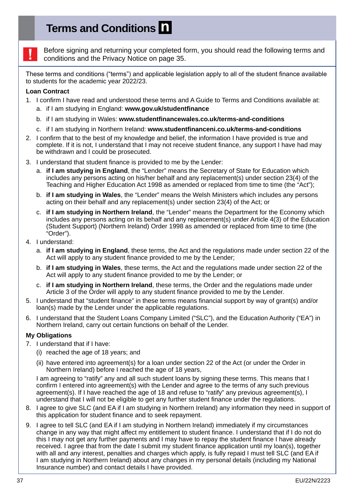## **Terms and Conditions**



Before signing and returning your completed form, you should read the following terms and conditions and the Privacy Notice on page 35.

These terms and conditions ("terms") and applicable legislation apply to all of the student finance available to students for the academic year 2022/23.

#### **Loan Contract**

- 1. I confirm I have read and understood these terms and A Guide to Terms and Conditions available at: a. if I am studying in England: **[www.gov.uk/studentfinance](http://www.gov.uk/studentfinance)**
	- b. if I am studying in Wales: **[www.studentfinancewales.co.uk/terms-and-conditions](http://www.studentfinancewales.co.uk/terms-and-conditions)**
	- c. if I am studying in Northern Ireland: **[www.studentfinanceni.co.uk/terms-and-conditions](http://www.studentfinanceni.co.uk/terms-and-conditions)**
- 2. I confirm that to the best of my knowledge and belief, the information I have provided is true and complete. If it is not, I understand that I may not receive student finance, any support I have had may be withdrawn and I could be prosecuted.
- 3. I understand that student finance is provided to me by the Lender:
	- a. **if I am studying in England**, the "Lender" means the Secretary of State for Education which includes any persons acting on his/her behalf and any replacement(s) under section 23(4) of the Teaching and Higher Education Act 1998 as amended or replaced from time to time (the "Act");
	- b. **if I am studying in Wales**, the "Lender" means the Welsh Ministers which includes any persons acting on their behalf and any replacement(s) under section 23(4) of the Act; or
	- c. **if I am studying in Northern Ireland**, the "Lender" means the Department for the Economy which includes any persons acting on its behalf and any replacement(s) under Article 4(3) of the Education (Student Support) (Northern Ireland) Order 1998 as amended or replaced from time to time (the "Order").
- 4. I understand:
	- a. **if I am studying in England**, these terms, the Act and the regulations made under section 22 of the Act will apply to any student finance provided to me by the Lender;
	- b. **if I am studying in Wales**, these terms, the Act and the regulations made under section 22 of the Act will apply to any student finance provided to me by the Lender; or
	- c. **if I am studying in Northern Ireland**, these terms, the Order and the regulations made under Article 3 of the Order will apply to any student finance provided to me by the Lender.
- 5. I understand that "student finance" in these terms means financial support by way of grant(s) and/or loan(s) made by the Lender under the applicable regulations.
- 6. I understand that the Student Loans Company Limited ("SLC"), and the Education Authority ("EA") in Northern Ireland, carry out certain functions on behalf of the Lender.

#### **My Obligations**

- 7. I understand that if I have:
	- (i) reached the age of 18 years; and
	- (ii) have entered into agreement(s) for a loan under section 22 of the Act (or under the Order in Northern Ireland) before I reached the age of 18 years,

I am agreeing to "ratify" any and all such student loans by signing these terms. This means that I confirm I entered into agreement(s) with the Lender and agree to the terms of any such previous agreement(s). If I have reached the age of 18 and refuse to "ratify" any previous agreement(s), I understand that I will not be eligible to get any further student finance under the regulations.

- 8. I agree to give SLC (and EA if I am studying in Northern Ireland) any information they need in support of this application for student finance and to seek repayment.
- 9. I agree to tell SLC (and EA if I am studying in Northern Ireland) immediately if my circumstances change in any way that might affect my entitlement to student finance. I understand that if I do not do this I may not get any further payments and I may have to repay the student finance I have already received. I agree that from the date I submit my student finance application until my loan(s), together with all and any interest, penalties and charges which apply, is fully repaid I must tell SLC (and EA if I am studying in Northern Ireland) about any changes in my personal details (including my National Insurance number) and contact details I have provided.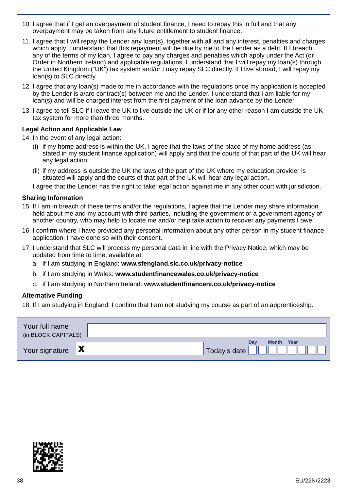- 10. I agree that if I get an overpayment of student finance, I need to repay this in full and that any overpayment may be taken from any future entitlement to student finance.
- 11. I agree that I will repay the Lender any loan(s), together with all and any interest, penalties and charges which apply. I understand that this repayment will be due by me to the Lender as a debt. If I breach any of the terms of my loan, I agree to pay any charges and penalties which apply under the Act (or Order in Northern Ireland) and applicable regulations. I understand that I will repay my loan(s) through the United Kingdom ("UK") tax system and/or I may repay SLC directly. If I live abroad, I will repay my loan(s) to SLC directly.
- 12. I agree that any loan(s) made to me in accordance with the regulations once my application is accepted by the Lender is a/are contract(s) between me and the Lender. I understand that I am liable for my loan(s) and will be charged interest from the first payment of the loan advance by the Lender.
- 13. I agree to tell SLC if I leave the UK to live outside the UK or if for any other reason I am outside the UK tax system for more than three months.

#### **Legal Action and Applicable Law**

14. In the event of any legal action:

- (i) if my home address is within the UK, I agree that the laws of the place of my home address (as stated in my student finance application) will apply and that the courts of that part of the UK will hear any legal action;
- (ii) if my address is outside the UK the laws of the part of the UK where my education provider is situated will apply and the courts of that part of the UK will hear any legal action.

I agree that the Lender has the right to take legal action against me in any other court with jurisdiction.

#### **Sharing Information**

- 15. If I am in breach of these terms and/or the regulations, I agree that the Lender may share information held about me and my account with third parties, including the government or a government agency of another country, who may help to locate me and/or help take action to recover any payments I owe.
- 16. I confirm where I have provided any personal information about any other person in my student finance application, I have done so with their consent.
- 17. I understand that SLC will process my personal data in line with the Privacy Notice, which may be updated from time to time, available at:
	- a. if I am studying in England: **[www.sfengland.slc.co.uk/privacy-notice](http://www.sfengland.slc.co.uk/privacy-notice)**
	- b. if I am studying in Wales: **[www.studentfinancewales.co.uk/privacy-notice](http://www.studentfinancewales.co.uk/privacy-notice)**
	- c. if I am studying in Northern Ireland: **[www.studentfinanceni.co.uk/privacy-notice](http://www.studentfinanceni.co.uk/privacy-notice)**

#### **Alternative Funding**

18. If I am studying in England: I confirm that I am not studying my course as part of an apprenticeship.

| Your full name<br>(in BLOCK CAPITALS) |                |                                          |  |
|---------------------------------------|----------------|------------------------------------------|--|
| Your signature                        | $\blacksquare$ | <b>Month Year</b><br>Dav<br>Today's date |  |

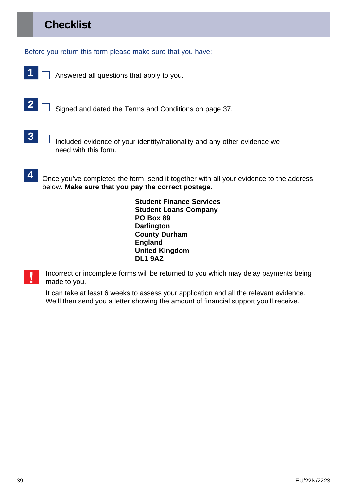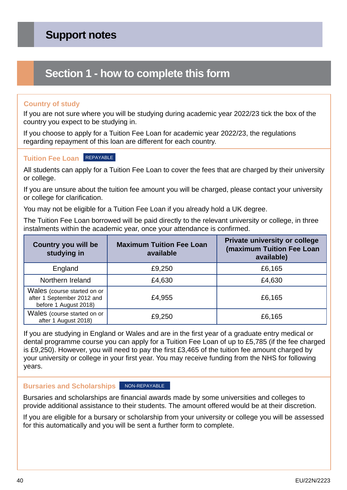### **Section 1 - how to complete this form**

#### **Country of study**

If you are not sure where you will be studying during academic year 2022/23 tick the box of the country you expect to be studying in.

If you choose to apply for a Tuition Fee Loan for academic year 2022/23, the regulations regarding repayment of this loan are different for each country.

#### **Tuition Fee Loan** REPAYABLE

All students can apply for a Tuition Fee Loan to cover the fees that are charged by their university or college.

If you are unsure about the tuition fee amount you will be charged, please contact your university or college for clarification.

You may not be eligible for a Tuition Fee Loan if you already hold a UK degree.

The Tuition Fee Loan borrowed will be paid directly to the relevant university or college, in three instalments within the academic year, once your attendance is confirmed.

| <b>Country you will be</b><br>studying in                                          | <b>Maximum Tuition Fee Loan</b><br>available | Private university or college<br>(maximum Tuition Fee Loan<br>available) |
|------------------------------------------------------------------------------------|----------------------------------------------|--------------------------------------------------------------------------|
| England                                                                            | £9,250                                       | £6,165                                                                   |
| Northern Ireland                                                                   | £4,630                                       | £4,630                                                                   |
| Wales (course started on or<br>after 1 September 2012 and<br>before 1 August 2018) | £4,955                                       | £6,165                                                                   |
| Wales (course started on or<br>after 1 August 2018)                                | £9,250                                       | £6,165                                                                   |

If you are studying in England or Wales and are in the first year of a graduate entry medical or dental programme course you can apply for a Tuition Fee Loan of up to £5,785 (if the fee charged is £9,250). However, you will need to pay the first £3,465 of the tuition fee amount charged by your university or college in your first year. You may receive funding from the NHS for following years.

#### **Bursaries and Scholarships NON-REPAYABLE**

Bursaries and scholarships are financial awards made by some universities and colleges to provide additional assistance to their students. The amount offered would be at their discretion.

If you are eligible for a bursary or scholarship from your university or college you will be assessed for this automatically and you will be sent a further form to complete.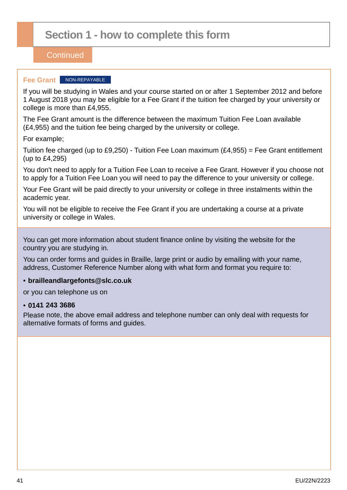## **Section 1 - how to complete this form**

#### **Continued**

#### **Fee Grant** NON-REPAYABLE

If you will be studying in Wales and your course started on or after 1 September 2012 and before 1 August 2018 you may be eligible for a Fee Grant if the tuition fee charged by your university or college is more than £4,955.

The Fee Grant amount is the difference between the maximum Tuition Fee Loan available (£4,955) and the tuition fee being charged by the university or college.

For example;

Tuition fee charged (up to £9,250) - Tuition Fee Loan maximum (£4,955) = Fee Grant entitlement (up to £4,295)

You don't need to apply for a Tuition Fee Loan to receive a Fee Grant. However if you choose not to apply for a Tuition Fee Loan you will need to pay the difference to your university or college.

Your Fee Grant will be paid directly to your university or college in three instalments within the academic year.

You will not be eligible to receive the Fee Grant if you are undertaking a course at a private university or college in Wales.

You can get more information about student finance online by visiting the website for the country you are studying in.

You can order forms and guides in Braille, large print or audio by emailing with your name, address, Customer Reference Number along with what form and format you require to:

#### • **brailleandlargefonts@slc.co.uk**

or you can telephone us on

#### • **0141 243 3686**

Please note, the above email address and telephone number can only deal with requests for alternative formats of forms and guides.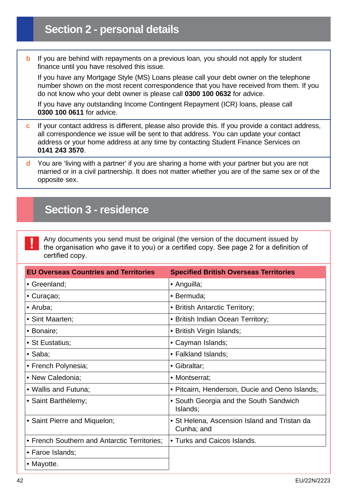## **Section 2 - personal details**

**b** If you are behind with repayments on a previous loan, you should not apply for student finance until you have resolved this issue.

If you have any Mortgage Style (MS) Loans please call your debt owner on the telephone number shown on the most recent correspondence that you have received from them. If you do not know who your debt owner is please call **0300 100 0632** for advice.

If you have any outstanding Income Contingent Repayment (ICR) loans, please call **0300 100 0611** for advice.

- **c** If your contact address is different, please also provide this. If you provide a contact address, all correspondence we issue will be sent to that address. You can update your contact address or your home address at any time by contacting Student Finance Services on **0141 243 3570**.
- **d** You are 'living with a partner' if you are sharing a home with your partner but you are not married or in a civil partnership. It does not matter whether you are of the same sex or of the opposite sex.

### **Section 3 - residence**

Any documents you send must be original (the version of the document issued by the organisation who gave it to you) or a certified copy. See page 2 for a definition of certified copy.

| <b>EU Overseas Countries and Territories</b> | <b>Specified British Overseas Territories</b>              |
|----------------------------------------------|------------------------------------------------------------|
| • Greenland;                                 | • Anguilla;                                                |
| • Curaçao;                                   | • Bermuda;                                                 |
| • Aruba;                                     | • British Antarctic Territory;                             |
| • Sint Maarten;                              | • British Indian Ocean Territory;                          |
| • Bonaire;                                   | • British Virgin Islands;                                  |
| • St Eustatius;                              | • Cayman Islands;                                          |
| $\bullet$ Saba;                              | • Falkland Islands;                                        |
| • French Polynesia;                          | • Gibraltar;                                               |
| • New Caledonia;                             | • Montserrat;                                              |
| • Wallis and Futuna;                         | • Pitcairn, Henderson, Ducie and Oeno Islands;             |
| • Saint Barthélemy;                          | • South Georgia and the South Sandwich<br>Islands;         |
| • Saint Pierre and Miquelon;                 | • St Helena, Ascension Island and Tristan da<br>Cunha; and |
| • French Southern and Antarctic Territories; | • Turks and Caicos Islands.                                |
| • Faroe Islands;                             |                                                            |
| • Mayotte.                                   |                                                            |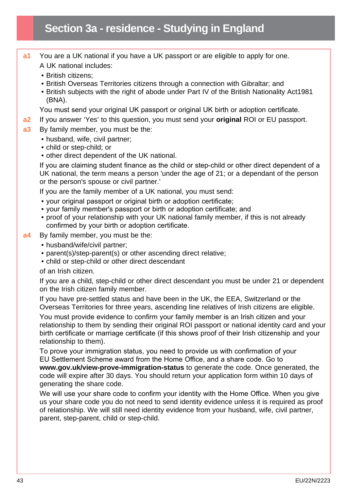- **a1** You are a UK national if you have a UK passport or are eligible to apply for one. A UK national includes:
	- British citizens;
	- British Overseas Territories citizens through a connection with Gibraltar; and
	- British subjects with the right of abode under Part IV of the British Nationality Act1981 (BNA).

You must send your original UK passport or original UK birth or adoption certificate.

- **a2** If you answer 'Yes' to this question, you must send your **original** ROI or EU passport.
- **a3** By family member, you must be the:
	- husband, wife, civil partner:
	- child or step-child; or
	- other direct dependent of the UK national.

If you are claiming student finance as the child or step-child or other direct dependent of a UK national, the term means a person 'under the age of 21; or a dependant of the person or the person's spouse or civil partner.'

If you are the family member of a UK national, you must send:

- your original passport or original birth or adoption certificate;
- your family member's passport or birth or adoption certificate; and
- proof of your relationship with your UK national family member, if this is not already confirmed by your birth or adoption certificate.
- **a4** By family member, you must be the:
	- husband/wife/civil partner;
	- parent(s)/step-parent(s) or other ascending direct relative;
	- child or step-child or other direct descendant

of an Irish citizen.

If you are a child, step-child or other direct descendant you must be under 21 or dependent on the Irish citizen family member.

If you have pre-settled status and have been in the UK, the EEA, Switzerland or the Overseas Territories for three years, ascending line relatives of Irish citizens are eligible.

You must provide evidence to confirm your family member is an Irish citizen and your relationship to them by sending their original ROI passport or national identity card and your birth certificate or marriage certificate (if this shows proof of their Irish citizenship and your relationship to them).

To prove your immigration status, you need to provide us with confirmation of your EU Settlement Scheme award from the Home Office, and a share code. Go to **[www.gov.uk/view-prove-immigration-status](http://www.gov.uk/view-prove-immigration-status)** to generate the code. Once generated, the code will expire after 30 days. You should return your application form within 10 days of generating the share code.

We will use your share code to confirm your identity with the Home Office. When you give us your share code you do not need to send identity evidence unless it is required as proof of relationship. We will still need identity evidence from your husband, wife, civil partner, parent, step-parent, child or step-child.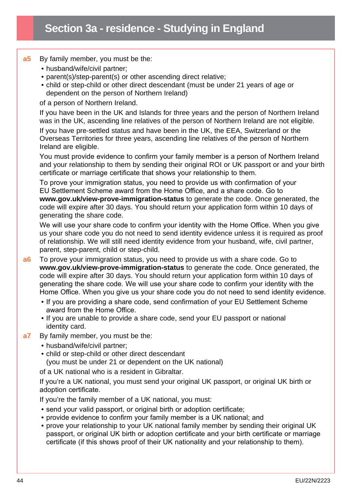#### **a5** By family member, you must be the:

- husband/wife/civil partner;
- parent(s)/step-parent(s) or other ascending direct relative;
- child or step-child or other direct descendant (must be under 21 years of age or dependent on the person of Northern Ireland)

of a person of Northern Ireland.

If you have been in the UK and Islands for three years and the person of Northern Ireland was in the UK, ascending line relatives of the person of Northern Ireland are not eligible.

If you have pre-settled status and have been in the UK, the EEA, Switzerland or the Overseas Territories for three years, ascending line relatives of the person of Northern Ireland are eligible.

You must provide evidence to confirm your family member is a person of Northern Ireland and your relationship to them by sending their original ROI or UK passport or and your birth certificate or marriage certificate that shows your relationship to them.

To prove your immigration status, you need to provide us with confirmation of your EU Settlement Scheme award from the Home Office, and a share code. Go to

**[www.gov.uk/view-prove-immigration-status](http://www.gov.uk/view-prove-immigration-status)** to generate the code. Once generated, the code will expire after 30 days. You should return your application form within 10 days of generating the share code.

We will use your share code to confirm your identity with the Home Office. When you give us your share code you do not need to send identity evidence unless it is required as proof of relationship. We will still need identity evidence from your husband, wife, civil partner, parent, step-parent, child or step-child.

- **a6** To prove your immigration status, you need to provide us with a share code. Go to **[www.gov.uk/view-prove-immigration-status](http://www.gov.uk/view-prove-immigration-status)** to generate the code. Once generated, the code will expire after 30 days. You should return your application form within 10 days of generating the share code. We will use your share code to confirm your identity with the Home Office. When you give us your share code you do not need to send identity evidence.
	- If you are providing a share code, send confirmation of your EU Settlement Scheme award from the Home Office.
	- If you are unable to provide a share code, send your EU passport or national identity card.
- **a7** By family member, you must be the:
	- husband/wife/civil partner;
	- child or step-child or other direct descendant (you must be under 21 or dependent on the UK national)

of a UK national who is a resident in Gibraltar.

If you're a UK national, you must send your original UK passport, or original UK birth or adoption certificate.

If you're the family member of a UK national, you must:

- send your valid passport, or original birth or adoption certificate;
- provide evidence to confirm your family member is a UK national; and
- prove your relationship to your UK national family member by sending their original UK passport, or original UK birth or adoption certificate and your birth certificate or marriage certificate (if this shows proof of their UK nationality and your relationship to them).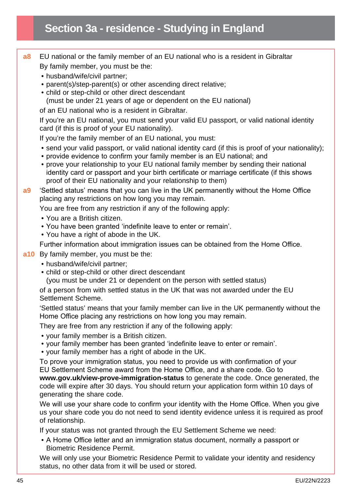- **a8** EU national or the family member of an EU national who is a resident in Gibraltar By family member, you must be the:
	- husband/wife/civil partner:
	- parent(s)/step-parent(s) or other ascending direct relative;
	- child or step-child or other direct descendant (must be under 21 years of age or dependent on the EU national)

of an EU national who is a resident in Gibraltar.

If you're an EU national, you must send your valid EU passport, or valid national identity card (if this is proof of your EU nationality).

If you're the family member of an EU national, you must:

- send your valid passport, or valid national identity card (if this is proof of your nationality);
- provide evidence to confirm your family member is an EU national; and
- prove your relationship to your EU national family member by sending their national identity card or passport and your birth certificate or marriage certificate (if this shows proof of their EU nationality and your relationship to them)

**a9** 'Settled status' means that you can live in the UK permanently without the Home Office placing any restrictions on how long you may remain.

You are free from any restriction if any of the following apply:

- You are a British citizen.
- You have been granted 'indefinite leave to enter or remain'.
- You have a right of abode in the UK.

Further information about immigration issues can be obtained from the Home Office.

#### **a10** By family member, you must be the:

- husband/wife/civil partner;
- child or step-child or other direct descendant

(you must be under 21 or dependent on the person with settled status)

of a person from with settled status in the UK that was not awarded under the EU Settlement Scheme.

'Settled status' means that your family member can live in the UK permanently without the Home Office placing any restrictions on how long you may remain.

They are free from any restriction if any of the following apply:

- your family member is a British citizen.
- your family member has been granted 'indefinite leave to enter or remain'.
- your family member has a right of abode in the UK.

To prove your immigration status, you need to provide us with confirmation of your EU Settlement Scheme award from the Home Office, and a share code. Go to **www.gov.uk/view-prove-immigration-status** to generate the code. Once generated, the code will expire after 30 days. You should return your application form within 10 days of generating the share code.

We will use your share code to confirm your identity with the Home Office. When you give us your share code you do not need to send identity evidence unless it is required as proof of relationship.

If your status was not granted through the EU Settlement Scheme we need:

• A Home Office letter and an immigration status document, normally a passport or Biometric Residence Permit.

We will only use your Biometric Residence Permit to validate your identity and residency status, no other data from it will be used or stored.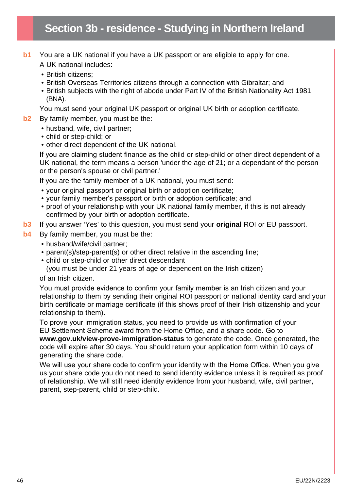- **b1** You are a UK national if you have a UK passport or are eligible to apply for one. A UK national includes:
	- British citizens;
	- British Overseas Territories citizens through a connection with Gibraltar; and
	- British subjects with the right of abode under Part IV of the British Nationality Act 1981 (BNA).

You must send your original UK passport or original UK birth or adoption certificate.

- **b2** By family member, you must be the:
	- husband, wife, civil partner;
	- child or step-child; or
	- other direct dependent of the UK national.

If you are claiming student finance as the child or step-child or other direct dependent of a UK national, the term means a person 'under the age of 21; or a dependant of the person or the person's spouse or civil partner.'

If you are the family member of a UK national, you must send:

- your original passport or original birth or adoption certificate;
- your family member's passport or birth or adoption certificate; and
- proof of your relationship with your UK national family member, if this is not already confirmed by your birth or adoption certificate.
- **b3** If you answer 'Yes' to this question, you must send your **original** ROI or EU passport.
- **b4** By family member, you must be the:
	- husband/wife/civil partner;
	- parent(s)/step-parent(s) or other direct relative in the ascending line;
	- child or step-child or other direct descendant

(you must be under 21 years of age or dependent on the Irish citizen)

of an Irish citizen.

You must provide evidence to confirm your family member is an Irish citizen and your relationship to them by sending their original ROI passport or national identity card and your birth certificate or marriage certificate (if this shows proof of their Irish citizenship and your relationship to them).

To prove your immigration status, you need to provide us with confirmation of your EU Settlement Scheme award from the Home Office, and a share code. Go to **[www.gov.uk/view-prove-immigration-status](http://www.gov.uk/view-prove-immigration-status)** to generate the code. Once generated, the code will expire after 30 days. You should return your application form within 10 days of generating the share code.

We will use your share code to confirm your identity with the Home Office. When you give us your share code you do not need to send identity evidence unless it is required as proof of relationship. We will still need identity evidence from your husband, wife, civil partner, parent, step-parent, child or step-child.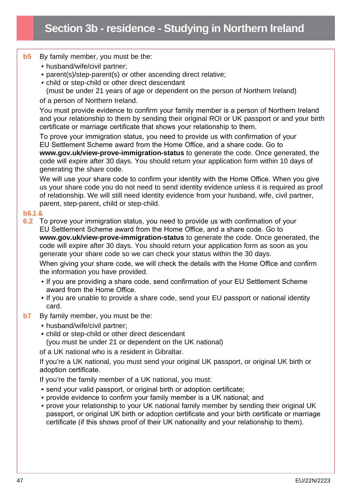## **Section 3b - residence - Studying in Northern Ireland**

#### **b5** By family member, you must be the:

- husband/wife/civil partner;
- parent(s)/step-parent(s) or other ascending direct relative;
- child or step-child or other direct descendant

(must be under 21 years of age or dependent on the person of Northern Ireland)

of a person of Northern Ireland.

You must provide evidence to confirm your family member is a person of Northern Ireland and your relationship to them by sending their original ROI or UK passport or and your birth certificate or marriage certificate that shows your relationship to them.

To prove your immigration status, you need to provide us with confirmation of your EU Settlement Scheme award from the Home Office, and a share code. Go to **[www.gov.uk/view-prove-immigration-status](http://www.gov.uk/view-prove-immigration-status)** to generate the code. Once generated, the code will expire after 30 days. You should return your application form within 10 days of generating the share code.

We will use your share code to confirm your identity with the Home Office. When you give us your share code you do not need to send identity evidence unless it is required as proof of relationship. We will still need identity evidence from your husband, wife, civil partner, parent, step-parent, child or step-child.

#### **b6.1 &**

**6.2** To prove your immigration status, you need to provide us with confirmation of your EU Settlement Scheme award from the Home Office, and a share code. Go to **[www.gov.uk/view-prove-immigration-status](http://www.gov.uk/view-prove-immigration-status)** to generate the code. Once generated, the code will expire after 30 days. You should return your application form as soon as you generate your share code so we can check your status within the 30 days. When giving your share code, we will check the details with the Home Office and confirm

the information you have provided. • If you are providing a share code, send confirmation of your EU Settlement Scheme

- award from the Home Office.
- If you are unable to provide a share code, send your EU passport or national identity card.
- **b7** By family member, you must be the:
	- husband/wife/civil partner;
	- child or step-child or other direct descendant (you must be under 21 or dependent on the UK national)

of a UK national who is a resident in Gibraltar.

If you're a UK national, you must send your original UK passport, or original UK birth or adoption certificate.

If you're the family member of a UK national, you must:

- send your valid passport, or original birth or adoption certificate;
- provide evidence to confirm your family member is a UK national; and
- prove your relationship to your UK national family member by sending their original UK passport, or original UK birth or adoption certificate and your birth certificate or marriage certificate (if this shows proof of their UK nationality and your relationship to them).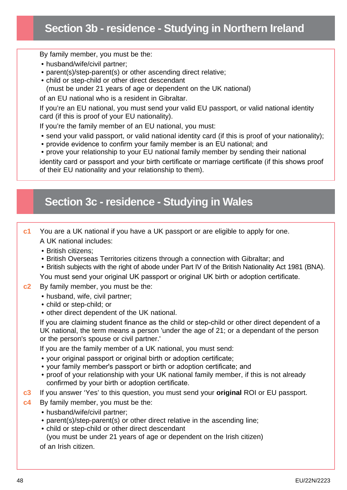## **Section 3b - residence - Studying in Northern Ireland**

By family member, you must be the:

- husband/wife/civil partner;
- parent(s)/step-parent(s) or other ascending direct relative;
- child or step-child or other direct descendant (must be under 21 years of age or dependent on the UK national)

of an EU national who is a resident in Gibraltar.

If you're an EU national, you must send your valid EU passport, or valid national identity card (if this is proof of your EU nationality).

If you're the family member of an EU national, you must:

- send your valid passport, or valid national identity card (if this is proof of your nationality);
- provide evidence to confirm your family member is an EU national; and
- prove your relationship to your EU national family member by sending their national

identity card or passport and your birth certificate or marriage certificate (if this shows proof of their EU nationality and your relationship to them).

### **Section 3c - residence - Studying in Wales**

- **c1** You are a UK national if you have a UK passport or are eligible to apply for one. A UK national includes:
	- British citizens;
	- British Overseas Territories citizens through a connection with Gibraltar; and
	- British subjects with the right of abode under Part IV of the British Nationality Act 1981 (BNA).

You must send your original UK passport or original UK birth or adoption certificate.

#### **c2** By family member, you must be the:

- husband, wife, civil partner;
- child or step-child; or
- other direct dependent of the UK national.

If you are claiming student finance as the child or step-child or other direct dependent of a UK national, the term means a person 'under the age of 21; or a dependant of the person or the person's spouse or civil partner.'

If you are the family member of a UK national, you must send:

- your original passport or original birth or adoption certificate;
- your family member's passport or birth or adoption certificate; and
- proof of your relationship with your UK national family member, if this is not already confirmed by your birth or adoption certificate.
- **c3** If you answer 'Yes' to this question, you must send your **original** ROI or EU passport.
- **c4** By family member, you must be the:
	- husband/wife/civil partner;
	- parent(s)/step-parent(s) or other direct relative in the ascending line;
	- child or step-child or other direct descendant (you must be under 21 years of age or dependent on the Irish citizen)

of an Irish citizen.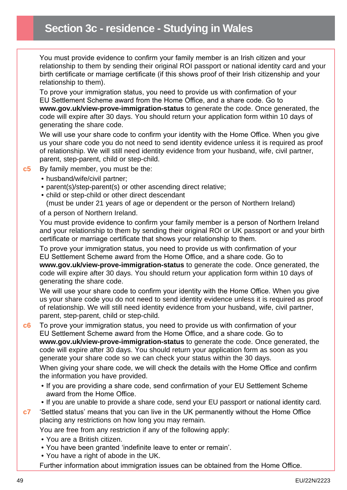You must provide evidence to confirm your family member is an Irish citizen and your relationship to them by sending their original ROI passport or national identity card and your birth certificate or marriage certificate (if this shows proof of their Irish citizenship and your relationship to them).

To prove your immigration status, you need to provide us with confirmation of your EU Settlement Scheme award from the Home Office, and a share code. Go to **[www.gov.uk/view-prove-immigration-status](http://www.gov.uk/view-prove-immigration-status)** to generate the code. Once generated, the code will expire after 30 days. You should return your application form within 10 days of generating the share code.

We will use your share code to confirm your identity with the Home Office. When you give us your share code you do not need to send identity evidence unless it is required as proof of relationship. We will still need identity evidence from your husband, wife, civil partner, parent, step-parent, child or step-child.

#### **c5** By family member, you must be the:

- husband/wife/civil partner;
- parent(s)/step-parent(s) or other ascending direct relative;
- child or step-child or other direct descendant
- (must be under 21 years of age or dependent or the person of Northern Ireland)

#### of a person of Northern Ireland.

You must provide evidence to confirm your family member is a person of Northern Ireland and your relationship to them by sending their original ROI or UK passport or and your birth certificate or marriage certificate that shows your relationship to them.

To prove your immigration status, you need to provide us with confirmation of your EU Settlement Scheme award from the Home Office, and a share code. Go to **[www.gov.uk/view-prove-immigration-status](http://www.gov.uk/view-prove-immigration-status)** to generate the code. Once generated, the code will expire after 30 days. You should return your application form within 10 days of generating the share code.

We will use your share code to confirm your identity with the Home Office. When you give us your share code you do not need to send identity evidence unless it is required as proof of relationship. We will still need identity evidence from your husband, wife, civil partner, parent, step-parent, child or step-child.

**c6** To prove your immigration status, you need to provide us with confirmation of your EU Settlement Scheme award from the Home Office, and a share code. Go to **[www.gov.uk/view-prove-immigration-status](http://www.gov.uk/view-prove-immigration-status)** to generate the code. Once generated, the code will expire after 30 days. You should return your application form as soon as you generate your share code so we can check your status within the 30 days.

When giving your share code, we will check the details with the Home Office and confirm the information you have provided.

- If you are providing a share code, send confirmation of your EU Settlement Scheme award from the Home Office.
- If you are unable to provide a share code, send your EU passport or national identity card.
- **c7** 'Settled status' means that you can live in the UK permanently without the Home Office placing any restrictions on how long you may remain.

You are free from any restriction if any of the following apply:

- You are a British citizen.
- You have been granted 'indefinite leave to enter or remain'.
- You have a right of abode in the UK.

Further information about immigration issues can be obtained from the Home Office.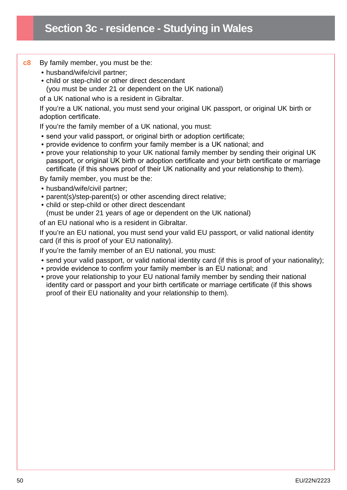#### **c8** By family member, you must be the:

- husband/wife/civil partner;
- child or step-child or other direct descendant (you must be under 21 or dependent on the UK national)

of a UK national who is a resident in Gibraltar.

If you're a UK national, you must send your original UK passport, or original UK birth or adoption certificate.

If you're the family member of a UK national, you must:

- send your valid passport, or original birth or adoption certificate;
- provide evidence to confirm your family member is a UK national; and
- prove your relationship to your UK national family member by sending their original UK passport, or original UK birth or adoption certificate and your birth certificate or marriage certificate (if this shows proof of their UK nationality and your relationship to them).

By family member, you must be the:

- husband/wife/civil partner;
- parent(s)/step-parent(s) or other ascending direct relative;
- child or step-child or other direct descendant

(must be under 21 years of age or dependent on the UK national)

of an EU national who is a resident in Gibraltar.

If you're an EU national, you must send your valid EU passport, or valid national identity card (if this is proof of your EU nationality).

If you're the family member of an EU national, you must:

- send your valid passport, or valid national identity card (if this is proof of your nationality);
- provide evidence to confirm your family member is an EU national; and
- prove your relationship to your EU national family member by sending their national identity card or passport and your birth certificate or marriage certificate (if this shows proof of their EU nationality and your relationship to them).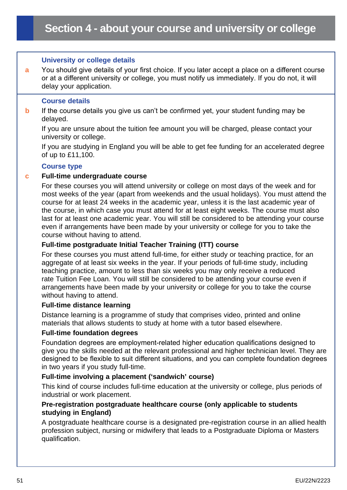#### **University or college details**

**a** You should give details of your first choice. If you later accept a place on a different course or at a different university or college, you must notify us immediately. If you do not, it will delay your application.

#### **Course details**

**b** If the course details you give us can't be confirmed yet, your student funding may be delayed.

If you are unsure about the tuition fee amount you will be charged, please contact your university or college.

If you are studying in England you will be able to get fee funding for an accelerated degree of up to £11,100.

#### **Course type**

#### **c Full-time undergraduate course**

For these courses you will attend university or college on most days of the week and for most weeks of the year (apart from weekends and the usual holidays). You must attend the course for at least 24 weeks in the academic year, unless it is the last academic year of the course, in which case you must attend for at least eight weeks. The course must also last for at least one academic year. You will still be considered to be attending your course even if arrangements have been made by your university or college for you to take the course without having to attend.

#### **Full-time postgraduate Initial Teacher Training (ITT) course**

For these courses you must attend full-time, for either study or teaching practice, for an aggregate of at least six weeks in the year. If your periods of full-time study, including teaching practice, amount to less than six weeks you may only receive a reduced rate Tuition Fee Loan. You will still be considered to be attending your course even if arrangements have been made by your university or college for you to take the course without having to attend.

#### **Full-time distance learning**

Distance learning is a programme of study that comprises video, printed and online materials that allows students to study at home with a tutor based elsewhere.

#### **Full-time foundation degrees**

Foundation degrees are employment-related higher education qualifications designed to give you the skills needed at the relevant professional and higher technician level. They are designed to be flexible to suit different situations, and you can complete foundation degrees in two years if you study full-time.

#### **Full-time involving a placement ('sandwich' course)**

This kind of course includes full-time education at the university or college, plus periods of industrial or work placement.

#### **Pre-registration postgraduate healthcare course (only applicable to students studying in England)**

A postgraduate healthcare course is a designated pre-registration course in an allied health profession subject, nursing or midwifery that leads to a Postgraduate Diploma or Masters qualification.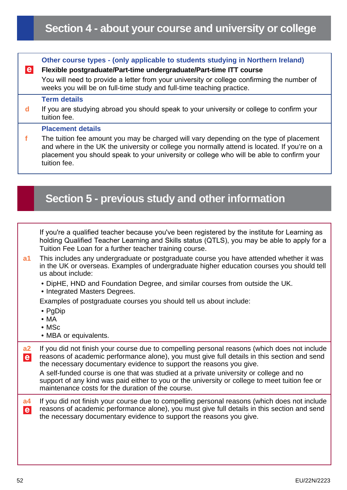## **Section 4 - about your course and university or college**

**Other course types - (only applicable to students studying in Northern Ireland)**

**d** If you are studying abroad you should speak to your university or college to confirm your

**f** The tuition fee amount you may be charged will vary depending on the type of placement

and where in the UK the university or college you normally attend is located. If you're on a

You will need to provide a letter from your university or college confirming the number of

**Flexible postgraduate/Part-time undergraduate/Part-time ITT course**

weeks you will be on full-time study and full-time teaching practice.

**Term details**

**Placement details**

tuition fee.

 $|e|$ 

| placement you should speak to your university or college who will be able to confirm your<br>tuition fee.                                                                                                                                                          |
|--------------------------------------------------------------------------------------------------------------------------------------------------------------------------------------------------------------------------------------------------------------------|
|                                                                                                                                                                                                                                                                    |
| Section 5 - previous study and other information                                                                                                                                                                                                                   |
|                                                                                                                                                                                                                                                                    |
| If you're a qualified teacher because you've been registered by the institute for Learning as<br>holding Qualified Teacher Learning and Skills status (QTLS), you may be able to apply for a<br>Tuition Fee Loan for a further teacher training course.            |
| This includes any undergraduate or postgraduate course you have attended whether it was<br>in the UK or overseas. Examples of undergraduate higher education courses you should tell<br>us about include:                                                          |
| . DipHE, HND and Foundation Degree, and similar courses from outside the UK.<br>• Integrated Masters Degrees.                                                                                                                                                      |
| Examples of postgraduate courses you should tell us about include:<br>• PgDip                                                                                                                                                                                      |
| $\bullet$ MA<br>$\bullet$ MSc<br>• MBA or equivalents.                                                                                                                                                                                                             |
| If you did not finish your course due to compelling personal reasons (which does not include<br>reasons of academic performance alone), you must give full details in this section and send<br>the necessary documentary evidence to support the reasons you give. |
| A self-funded course is one that was studied at a private university or college and no<br>support of any kind was paid either to you or the university or college to meet tuition fee or<br>maintenance costs for the duration of the course.                      |
| If you did not finish your course due to compelling personal reasons (which does not include<br>reasons of academic performance alone), you must give full details in this section and send<br>the necessary documentary evidence to support the reasons you give. |
|                                                                                                                                                                                                                                                                    |
|                                                                                                                                                                                                                                                                    |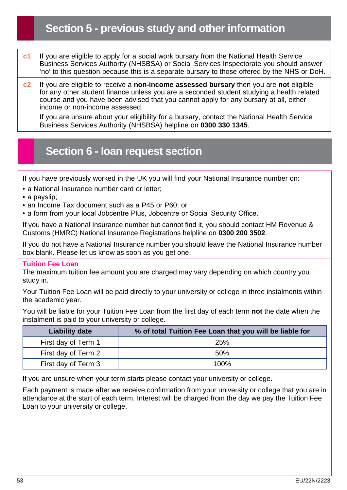- **c1** If you are eligible to apply for a social work bursary from the National Health Service Business Services Authority (NHSBSA) or Social Services Inspectorate you should answer 'no' to this question because this is a separate bursary to those offered by the NHS or DoH.
- **c2** If you are eligible to receive a **non-income assessed bursary** then you are **not** eligible for any other student finance unless you are a seconded student studying a health related course and you have been advised that you cannot apply for any bursary at all, either income or non-income assessed.

If you are unsure about your eligibility for a bursary, contact the National Health Service Business Services Authority (NHSBSA) helpline on **0300 330 1345**.

### **Section 6 - loan request section**

If you have previously worked in the UK you will find your National Insurance number on:

- a National Insurance number card or letter:
- a payslip;
- an Income Tax document such as a P45 or P60; or
- a form from your local Jobcentre Plus, Jobcentre or Social Security Office.

If you have a National Insurance number but cannot find it, you should contact HM Revenue & Customs (HMRC) National Insurance Registrations helpline on **0300 200 3502**.

If you do not have a National Insurance number you should leave the National Insurance number box blank. Please let us know as soon as you get one.

#### **Tuition Fee Loan**

The maximum tuition fee amount you are charged may vary depending on which country you study in.

Your Tuition Fee Loan will be paid directly to your university or college in three instalments within the academic year.

You will be liable for your Tuition Fee Loan from the first day of each term **not** the date when the instalment is paid to your university or college.

| <b>Liability date</b> | % of total Tuition Fee Loan that you will be liable for |
|-----------------------|---------------------------------------------------------|
| First day of Term 1   | <b>25%</b>                                              |
| First day of Term 2   | 50%                                                     |
| First day of Term 3   | 100%                                                    |

If you are unsure when your term starts please contact your university or college.

Each payment is made after we receive confirmation from your university or college that you are in attendance at the start of each term. Interest will be charged from the day we pay the Tuition Fee Loan to your university or college.